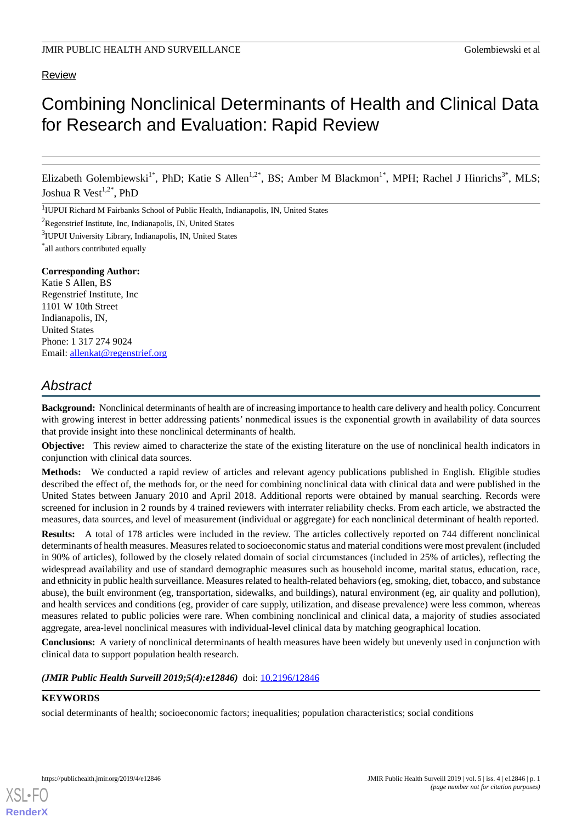# Review

# Combining Nonclinical Determinants of Health and Clinical Data for Research and Evaluation: Rapid Review

Elizabeth Golembiewski<sup>1\*</sup>, PhD; Katie S Allen<sup>1,2\*</sup>, BS; Amber M Blackmon<sup>1\*</sup>, MPH; Rachel J Hinrichs<sup>3\*</sup>, MLS; Joshua R Vest<sup>1,2\*</sup>, PhD

<sup>1</sup>IUPUI Richard M Fairbanks School of Public Health, Indianapolis, IN, United States

<sup>2</sup>Regenstrief Institute, Inc, Indianapolis, IN, United States

<sup>3</sup>IUPUI University Library, Indianapolis, IN, United States

\* all authors contributed equally

#### **Corresponding Author:**

Katie S Allen, BS Regenstrief Institute, Inc 1101 W 10th Street Indianapolis, IN, United States Phone: 1 317 274 9024 Email: [allenkat@regenstrief.org](mailto:allenkat@regenstrief.org)

# *Abstract*

**Background:** Nonclinical determinants of health are of increasing importance to health care delivery and health policy. Concurrent with growing interest in better addressing patients' nonmedical issues is the exponential growth in availability of data sources that provide insight into these nonclinical determinants of health.

**Objective:** This review aimed to characterize the state of the existing literature on the use of nonclinical health indicators in conjunction with clinical data sources.

**Methods:** We conducted a rapid review of articles and relevant agency publications published in English. Eligible studies described the effect of, the methods for, or the need for combining nonclinical data with clinical data and were published in the United States between January 2010 and April 2018. Additional reports were obtained by manual searching. Records were screened for inclusion in 2 rounds by 4 trained reviewers with interrater reliability checks. From each article, we abstracted the measures, data sources, and level of measurement (individual or aggregate) for each nonclinical determinant of health reported.

**Results:** A total of 178 articles were included in the review. The articles collectively reported on 744 different nonclinical determinants of health measures. Measures related to socioeconomic status and material conditions were most prevalent (included in 90% of articles), followed by the closely related domain of social circumstances (included in 25% of articles), reflecting the widespread availability and use of standard demographic measures such as household income, marital status, education, race, and ethnicity in public health surveillance. Measures related to health-related behaviors (eg, smoking, diet, tobacco, and substance abuse), the built environment (eg, transportation, sidewalks, and buildings), natural environment (eg, air quality and pollution), and health services and conditions (eg, provider of care supply, utilization, and disease prevalence) were less common, whereas measures related to public policies were rare. When combining nonclinical and clinical data, a majority of studies associated aggregate, area-level nonclinical measures with individual-level clinical data by matching geographical location.

**Conclusions:** A variety of nonclinical determinants of health measures have been widely but unevenly used in conjunction with clinical data to support population health research.

*(JMIR Public Health Surveill 2019;5(4):e12846)* doi: [10.2196/12846](http://dx.doi.org/10.2196/12846)

# **KEYWORDS**

[XSL](http://www.w3.org/Style/XSL)•FO **[RenderX](http://www.renderx.com/)**

social determinants of health; socioeconomic factors; inequalities; population characteristics; social conditions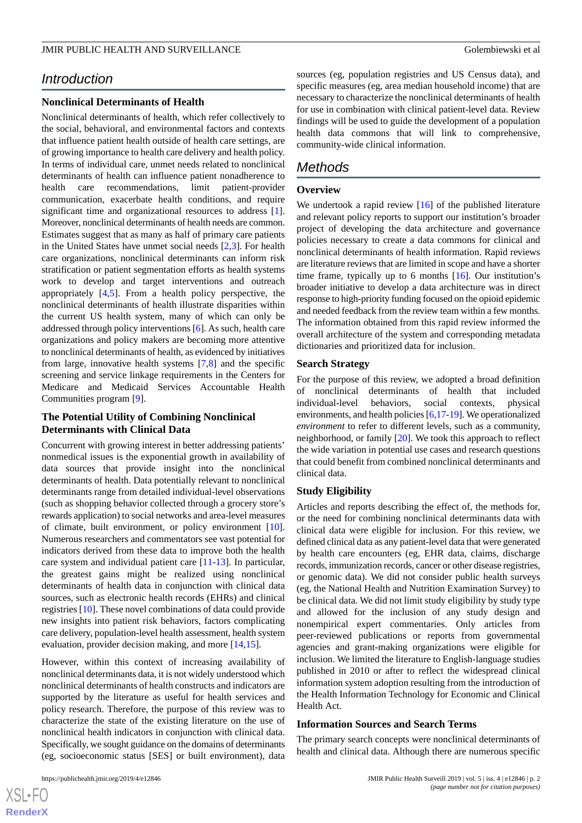# *Introduction*

# **Nonclinical Determinants of Health**

Nonclinical determinants of health, which refer collectively to the social, behavioral, and environmental factors and contexts that influence patient health outside of health care settings, are of growing importance to health care delivery and health policy. In terms of individual care, unmet needs related to nonclinical determinants of health can influence patient nonadherence to health care recommendations, limit patient-provider communication, exacerbate health conditions, and require significant time and organizational resources to address [[1\]](#page-7-0). Moreover, nonclinical determinants of health needs are common. Estimates suggest that as many as half of primary care patients in the United States have unmet social needs [\[2](#page-7-1),[3\]](#page-7-2). For health care organizations, nonclinical determinants can inform risk stratification or patient segmentation efforts as health systems work to develop and target interventions and outreach appropriately [[4,](#page-7-3)[5](#page-7-4)]. From a health policy perspective, the nonclinical determinants of health illustrate disparities within the current US health system, many of which can only be addressed through policy interventions [\[6](#page-7-5)]. As such, health care organizations and policy makers are becoming more attentive to nonclinical determinants of health, as evidenced by initiatives from large, innovative health systems [[7](#page-7-6)[,8](#page-7-7)] and the specific screening and service linkage requirements in the Centers for Medicare and Medicaid Services Accountable Health Communities program [[9\]](#page-7-8).

# **The Potential Utility of Combining Nonclinical Determinants with Clinical Data**

Concurrent with growing interest in better addressing patients' nonmedical issues is the exponential growth in availability of data sources that provide insight into the nonclinical determinants of health. Data potentially relevant to nonclinical determinants range from detailed individual-level observations (such as shopping behavior collected through a grocery store's rewards application) to social networks and area-level measures of climate, built environment, or policy environment [[10\]](#page-7-9). Numerous researchers and commentators see vast potential for indicators derived from these data to improve both the health care system and individual patient care [[11-](#page-7-10)[13\]](#page-7-11). In particular, the greatest gains might be realized using nonclinical determinants of health data in conjunction with clinical data sources, such as electronic health records (EHRs) and clinical registries [\[10](#page-7-9)]. These novel combinations of data could provide new insights into patient risk behaviors, factors complicating care delivery, population-level health assessment, health system evaluation, provider decision making, and more [\[14](#page-8-0),[15\]](#page-8-1).

However, within this context of increasing availability of nonclinical determinants data, it is not widely understood which nonclinical determinants of health constructs and indicators are supported by the literature as useful for health services and policy research. Therefore, the purpose of this review was to characterize the state of the existing literature on the use of nonclinical health indicators in conjunction with clinical data. Specifically, we sought guidance on the domains of determinants (eg, socioeconomic status [SES] or built environment), data

sources (eg, population registries and US Census data), and specific measures (eg, area median household income) that are necessary to characterize the nonclinical determinants of health for use in combination with clinical patient-level data. Review findings will be used to guide the development of a population health data commons that will link to comprehensive, community-wide clinical information.

# *Methods*

# **Overview**

We undertook a rapid review [[16\]](#page-8-2) of the published literature and relevant policy reports to support our institution's broader project of developing the data architecture and governance policies necessary to create a data commons for clinical and nonclinical determinants of health information. Rapid reviews are literature reviews that are limited in scope and have a shorter time frame, typically up to 6 months [\[16](#page-8-2)]. Our institution's broader initiative to develop a data architecture was in direct response to high-priority funding focused on the opioid epidemic and needed feedback from the review team within a few months. The information obtained from this rapid review informed the overall architecture of the system and corresponding metadata dictionaries and prioritized data for inclusion.

# **Search Strategy**

For the purpose of this review, we adopted a broad definition of nonclinical determinants of health that included individual-level behaviors, social contexts, physical environments, and health policies [\[6](#page-7-5)[,17](#page-8-3)-[19\]](#page-8-4). We operationalized *environment* to refer to different levels, such as a community, neighborhood, or family [[20\]](#page-8-5). We took this approach to reflect the wide variation in potential use cases and research questions that could benefit from combined nonclinical determinants and clinical data.

# **Study Eligibility**

Articles and reports describing the effect of, the methods for, or the need for combining nonclinical determinants data with clinical data were eligible for inclusion. For this review, we defined clinical data as any patient-level data that were generated by health care encounters (eg, EHR data, claims, discharge records, immunization records, cancer or other disease registries, or genomic data). We did not consider public health surveys (eg, the National Health and Nutrition Examination Survey) to be clinical data. We did not limit study eligibility by study type and allowed for the inclusion of any study design and nonempirical expert commentaries. Only articles from peer-reviewed publications or reports from governmental agencies and grant-making organizations were eligible for inclusion. We limited the literature to English-language studies published in 2010 or after to reflect the widespread clinical information system adoption resulting from the introduction of the Health Information Technology for Economic and Clinical Health Act.

# **Information Sources and Search Terms**

The primary search concepts were nonclinical determinants of health and clinical data. Although there are numerous specific

 $XS$  • FC **[RenderX](http://www.renderx.com/)**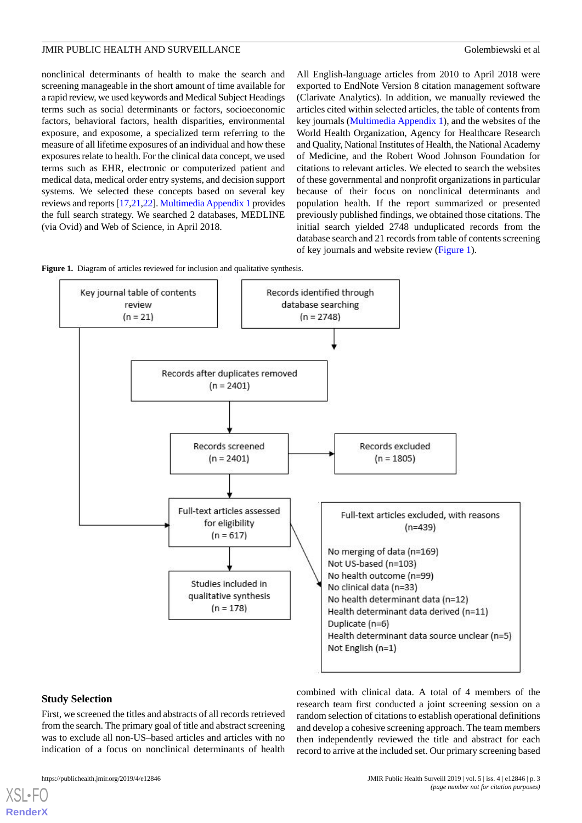nonclinical determinants of health to make the search and screening manageable in the short amount of time available for a rapid review, we used keywords and Medical Subject Headings terms such as social determinants or factors, socioeconomic factors, behavioral factors, health disparities, environmental exposure, and exposome, a specialized term referring to the measure of all lifetime exposures of an individual and how these exposures relate to health. For the clinical data concept, we used terms such as EHR, electronic or computerized patient and medical data, medical order entry systems, and decision support systems. We selected these concepts based on several key reviews and reports [\[17](#page-8-3)[,21](#page-8-6)[,22](#page-8-7)]. [Multimedia Appendix 1](#page-7-12) provides the full search strategy. We searched 2 databases, MEDLINE (via Ovid) and Web of Science, in April 2018.

All English-language articles from 2010 to April 2018 were exported to EndNote Version 8 citation management software (Clarivate Analytics). In addition, we manually reviewed the articles cited within selected articles, the table of contents from key journals ([Multimedia Appendix 1\)](#page-7-12), and the websites of the World Health Organization, Agency for Healthcare Research and Quality, National Institutes of Health, the National Academy of Medicine, and the Robert Wood Johnson Foundation for citations to relevant articles. We elected to search the websites of these governmental and nonprofit organizations in particular because of their focus on nonclinical determinants and population health. If the report summarized or presented previously published findings, we obtained those citations. The initial search yielded 2748 unduplicated records from the database search and 21 records from table of contents screening of key journals and website review [\(Figure 1](#page-2-0)).

<span id="page-2-0"></span>



# **Study Selection**

[XSL](http://www.w3.org/Style/XSL)•FO **[RenderX](http://www.renderx.com/)**

First, we screened the titles and abstracts of all records retrieved from the search. The primary goal of title and abstract screening was to exclude all non-US–based articles and articles with no indication of a focus on nonclinical determinants of health

combined with clinical data. A total of 4 members of the research team first conducted a joint screening session on a random selection of citations to establish operational definitions and develop a cohesive screening approach. The team members then independently reviewed the title and abstract for each record to arrive at the included set. Our primary screening based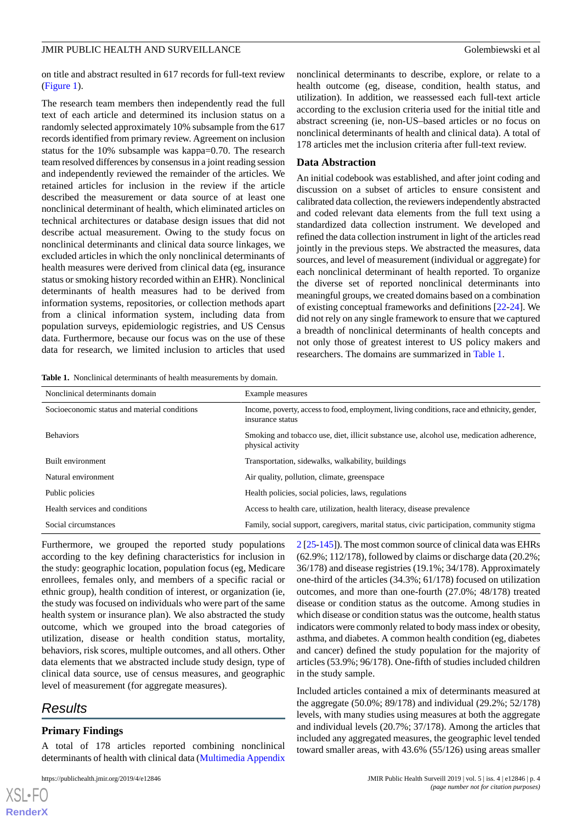on title and abstract resulted in 617 records for full-text review ([Figure 1\)](#page-2-0).

The research team members then independently read the full text of each article and determined its inclusion status on a randomly selected approximately 10% subsample from the 617 records identified from primary review. Agreement on inclusion status for the 10% subsample was kappa=0.70. The research team resolved differences by consensus in a joint reading session and independently reviewed the remainder of the articles. We retained articles for inclusion in the review if the article described the measurement or data source of at least one nonclinical determinant of health, which eliminated articles on technical architectures or database design issues that did not describe actual measurement. Owing to the study focus on nonclinical determinants and clinical data source linkages, we excluded articles in which the only nonclinical determinants of health measures were derived from clinical data (eg, insurance status or smoking history recorded within an EHR). Nonclinical determinants of health measures had to be derived from information systems, repositories, or collection methods apart from a clinical information system, including data from population surveys, epidemiologic registries, and US Census data. Furthermore, because our focus was on the use of these data for research, we limited inclusion to articles that used

nonclinical determinants to describe, explore, or relate to a health outcome (eg, disease, condition, health status, and utilization). In addition, we reassessed each full-text article according to the exclusion criteria used for the initial title and abstract screening (ie, non-US–based articles or no focus on nonclinical determinants of health and clinical data). A total of 178 articles met the inclusion criteria after full-text review.

#### **Data Abstraction**

An initial codebook was established, and after joint coding and discussion on a subset of articles to ensure consistent and calibrated data collection, the reviewers independently abstracted and coded relevant data elements from the full text using a standardized data collection instrument. We developed and refined the data collection instrument in light of the articles read jointly in the previous steps. We abstracted the measures, data sources, and level of measurement (individual or aggregate) for each nonclinical determinant of health reported. To organize the diverse set of reported nonclinical determinants into meaningful groups, we created domains based on a combination of existing conceptual frameworks and definitions [\[22](#page-8-7)-[24\]](#page-8-8). We did not rely on any single framework to ensure that we captured a breadth of nonclinical determinants of health concepts and not only those of greatest interest to US policy makers and researchers. The domains are summarized in [Table 1.](#page-3-0)

<span id="page-3-0"></span>**Table 1.** Nonclinical determinants of health measurements by domain.

| Nonclinical determinants domain              | Example measures                                                                                                |
|----------------------------------------------|-----------------------------------------------------------------------------------------------------------------|
| Socioeconomic status and material conditions | Income, poverty, access to food, employment, living conditions, race and ethnicity, gender,<br>insurance status |
| <b>Behaviors</b>                             | Smoking and tobacco use, diet, illicit substance use, alcohol use, medication adherence,<br>physical activity   |
| Built environment                            | Transportation, sidewalks, walkability, buildings                                                               |
| Natural environment                          | Air quality, pollution, climate, greenspace                                                                     |
| Public policies                              | Health policies, social policies, laws, regulations                                                             |
| Health services and conditions               | Access to health care, utilization, health literacy, disease prevalence                                         |
| Social circumstances                         | Family, social support, caregivers, marital status, civic participation, community stigma                       |

Furthermore, we grouped the reported study populations according to the key defining characteristics for inclusion in the study: geographic location, population focus (eg, Medicare enrollees, females only, and members of a specific racial or ethnic group), health condition of interest, or organization (ie, the study was focused on individuals who were part of the same health system or insurance plan). We also abstracted the study outcome, which we grouped into the broad categories of utilization, disease or health condition status, mortality, behaviors, risk scores, multiple outcomes, and all others. Other data elements that we abstracted include study design, type of clinical data source, use of census measures, and geographic level of measurement (for aggregate measures).

# *Results*

 $XS$  $\cdot$ FC **[RenderX](http://www.renderx.com/)**

# **Primary Findings**

A total of 178 articles reported combining nonclinical determinants of health with clinical data [\(Multimedia Appendix](#page-7-13)

[2](#page-7-13) [[25](#page-8-9)-[145](#page-14-0)]). The most common source of clinical data was EHRs (62.9%; 112/178), followed by claims or discharge data (20.2%; 36/178) and disease registries (19.1%; 34/178). Approximately one-third of the articles (34.3%; 61/178) focused on utilization outcomes, and more than one-fourth (27.0%; 48/178) treated disease or condition status as the outcome. Among studies in which disease or condition status was the outcome, health status indicators were commonly related to body mass index or obesity, asthma, and diabetes. A common health condition (eg, diabetes and cancer) defined the study population for the majority of articles (53.9%; 96/178). One-fifth of studies included children in the study sample.

Included articles contained a mix of determinants measured at the aggregate (50.0%; 89/178) and individual (29.2%; 52/178) levels, with many studies using measures at both the aggregate and individual levels (20.7%; 37/178). Among the articles that included any aggregated measures, the geographic level tended toward smaller areas, with 43.6% (55/126) using areas smaller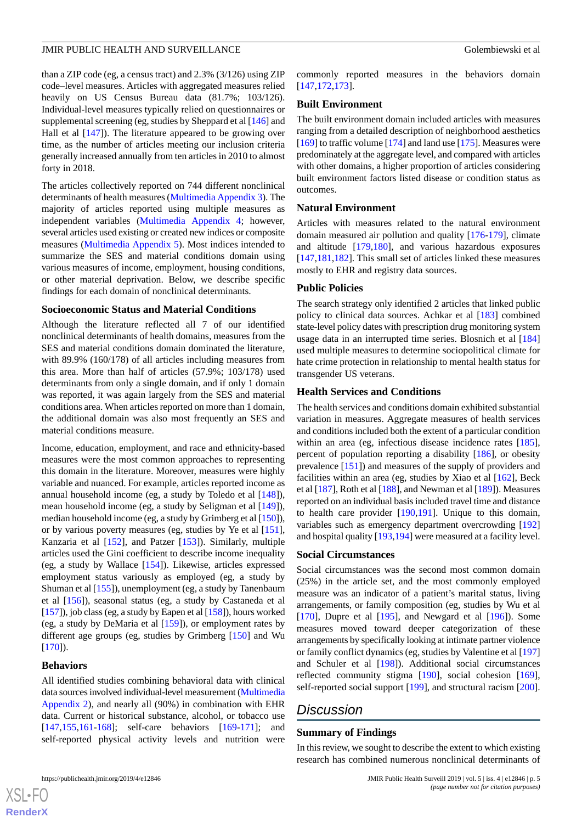than a ZIP code (eg, a census tract) and 2.3% (3/126) using ZIP code–level measures. Articles with aggregated measures relied heavily on US Census Bureau data (81.7%; 103/126). Individual-level measures typically relied on questionnaires or supplemental screening (eg, studies by Sheppard et al [\[146](#page-14-1)] and Hall et al [[147\]](#page-14-2)). The literature appeared to be growing over time, as the number of articles meeting our inclusion criteria generally increased annually from ten articles in 2010 to almost forty in 2018.

The articles collectively reported on 744 different nonclinical determinants of health measures [\(Multimedia Appendix 3](#page-7-14)). The majority of articles reported using multiple measures as independent variables [\(Multimedia Appendix 4;](#page-7-15) however, several articles used existing or created new indices or composite measures ([Multimedia Appendix 5\)](#page-7-16). Most indices intended to summarize the SES and material conditions domain using various measures of income, employment, housing conditions, or other material deprivation. Below, we describe specific findings for each domain of nonclinical determinants.

#### **Socioeconomic Status and Material Conditions**

Although the literature reflected all 7 of our identified nonclinical determinants of health domains, measures from the SES and material conditions domain dominated the literature, with 89.9% (160/178) of all articles including measures from this area. More than half of articles (57.9%; 103/178) used determinants from only a single domain, and if only 1 domain was reported, it was again largely from the SES and material conditions area. When articles reported on more than 1 domain, the additional domain was also most frequently an SES and material conditions measure.

Income, education, employment, and race and ethnicity-based measures were the most common approaches to representing this domain in the literature. Moreover, measures were highly variable and nuanced. For example, articles reported income as annual household income (eg, a study by Toledo et al [[148](#page-14-3)]), mean household income (eg, a study by Seligman et al [[149](#page-14-4)]), median household income (eg, a study by Grimberg et al [[150\]](#page-14-5)), or by various poverty measures (eg, studies by Ye et al [[151\]](#page-14-6), Kanzaria et al [[152\]](#page-14-7), and Patzer [\[153](#page-14-8)]). Similarly, multiple articles used the Gini coefficient to describe income inequality (eg, a study by Wallace [[154\]](#page-14-9)). Likewise, articles expressed employment status variously as employed (eg, a study by Shuman et al [[155\]](#page-15-0)), unemployment (eg, a study by Tanenbaum et al [\[156](#page-15-1)]), seasonal status (eg, a study by Castaneda et al [[157](#page-15-2)]), job class (eg, a study by Eapen et al [[158\]](#page-15-3)), hours worked (eg, a study by DeMaria et al [\[159](#page-15-4)]), or employment rates by different age groups (eg, studies by Grimberg [[150\]](#page-14-5) and Wu  $[170]$  $[170]$ .

#### **Behaviors**

All identified studies combining behavioral data with clinical data sources involved individual-level measurement [\(Multimedia](#page-7-13) [Appendix 2](#page-7-13)), and nearly all (90%) in combination with EHR data. Current or historical substance, alcohol, or tobacco use [[147](#page-14-2)[,155](#page-15-0),[161](#page-15-6)[-168](#page-15-7)]; self-care behaviors [[169](#page-15-8)-[171\]](#page-15-9); and self-reported physical activity levels and nutrition were

commonly reported measures in the behaviors domain [[147](#page-14-2)[,172,](#page-15-10)[173\]](#page-15-11).

#### **Built Environment**

The built environment domain included articles with measures ranging from a detailed description of neighborhood aesthetics [[169\]](#page-15-8) to traffic volume [\[174](#page-16-0)] and land use [\[175\]](#page-16-1). Measures were predominately at the aggregate level, and compared with articles with other domains, a higher proportion of articles considering built environment factors listed disease or condition status as outcomes.

#### **Natural Environment**

Articles with measures related to the natural environment domain measured air pollution and quality [\[176](#page-16-2)-[179\]](#page-16-3), climate and altitude [\[179](#page-16-3),[180\]](#page-16-4), and various hazardous exposures [[147](#page-14-2)[,181,](#page-16-5)[182\]](#page-16-6). This small set of articles linked these measures mostly to EHR and registry data sources.

#### **Public Policies**

The search strategy only identified 2 articles that linked public policy to clinical data sources. Achkar et al [\[183](#page-16-7)] combined state-level policy dates with prescription drug monitoring system usage data in an interrupted time series. Blosnich et al [\[184](#page-16-8)] used multiple measures to determine sociopolitical climate for hate crime protection in relationship to mental health status for transgender US veterans.

#### **Health Services and Conditions**

The health services and conditions domain exhibited substantial variation in measures. Aggregate measures of health services and conditions included both the extent of a particular condition within an area (eg, infectious disease incidence rates [[185\]](#page-16-9), percent of population reporting a disability [[186](#page-16-10)], or obesity prevalence [\[151](#page-14-6)]) and measures of the supply of providers and facilities within an area (eg, studies by Xiao et al [\[162\]](#page-15-12), Beck et al [\[187](#page-16-11)], Roth et al [[188\]](#page-16-12), and Newman et al [[189\]](#page-16-13)). Measures reported on an individual basis included travel time and distance to health care provider [[190](#page-16-14)[,191](#page-16-15)]. Unique to this domain, variables such as emergency department overcrowding [\[192](#page-16-16)] and hospital quality [\[193,](#page-16-17)[194\]](#page-17-0) were measured at a facility level.

#### **Social Circumstances**

Social circumstances was the second most common domain (25%) in the article set, and the most commonly employed measure was an indicator of a patient's marital status, living arrangements, or family composition (eg, studies by Wu et al [[170\]](#page-15-5), Dupre et al  $[195]$  $[195]$ , and Newgard et al  $[196]$  $[196]$ ). Some measures moved toward deeper categorization of these arrangements by specifically looking at intimate partner violence or family conflict dynamics (eg, studies by Valentine et al [\[197](#page-17-3)] and Schuler et al [[198\]](#page-17-4)). Additional social circumstances reflected community stigma [[190](#page-16-14)], social cohesion [[169\]](#page-15-8), self-reported social support [[199\]](#page-17-5), and structural racism [[200\]](#page-17-6).

# *Discussion*

#### **Summary of Findings**

In this review, we sought to describe the extent to which existing research has combined numerous nonclinical determinants of

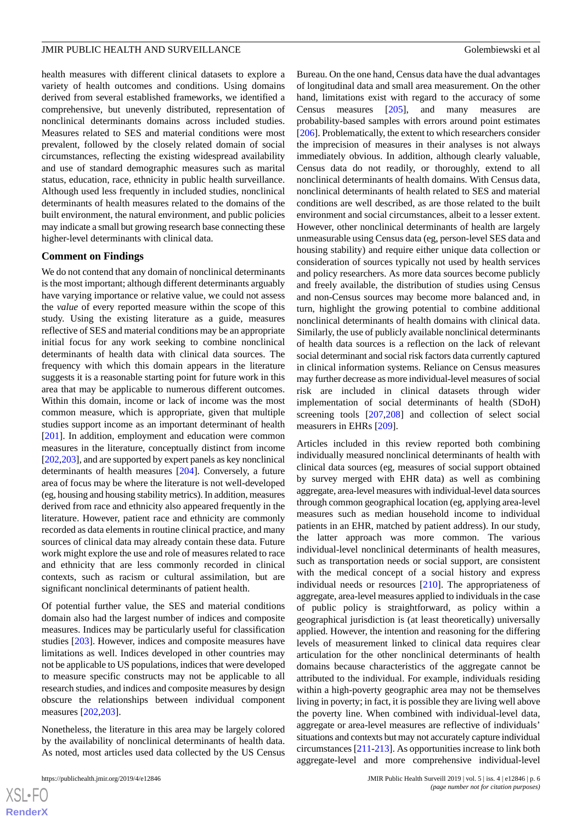health measures with different clinical datasets to explore a variety of health outcomes and conditions. Using domains derived from several established frameworks, we identified a comprehensive, but unevenly distributed, representation of nonclinical determinants domains across included studies. Measures related to SES and material conditions were most prevalent, followed by the closely related domain of social circumstances, reflecting the existing widespread availability and use of standard demographic measures such as marital status, education, race, ethnicity in public health surveillance. Although used less frequently in included studies, nonclinical determinants of health measures related to the domains of the built environment, the natural environment, and public policies may indicate a small but growing research base connecting these higher-level determinants with clinical data.

#### **Comment on Findings**

We do not contend that any domain of nonclinical determinants is the most important; although different determinants arguably have varying importance or relative value, we could not assess the *value* of every reported measure within the scope of this study. Using the existing literature as a guide, measures reflective of SES and material conditions may be an appropriate initial focus for any work seeking to combine nonclinical determinants of health data with clinical data sources. The frequency with which this domain appears in the literature suggests it is a reasonable starting point for future work in this area that may be applicable to numerous different outcomes. Within this domain, income or lack of income was the most common measure, which is appropriate, given that multiple studies support income as an important determinant of health [[201\]](#page-17-7). In addition, employment and education were common measures in the literature, conceptually distinct from income [[202,](#page-17-8)[203\]](#page-17-9), and are supported by expert panels as key nonclinical determinants of health measures [[204\]](#page-17-10). Conversely, a future area of focus may be where the literature is not well-developed (eg, housing and housing stability metrics). In addition, measures derived from race and ethnicity also appeared frequently in the literature. However, patient race and ethnicity are commonly recorded as data elements in routine clinical practice, and many sources of clinical data may already contain these data. Future work might explore the use and role of measures related to race and ethnicity that are less commonly recorded in clinical contexts, such as racism or cultural assimilation, but are significant nonclinical determinants of patient health.

Of potential further value, the SES and material conditions domain also had the largest number of indices and composite measures. Indices may be particularly useful for classification studies [\[203](#page-17-9)]. However, indices and composite measures have limitations as well. Indices developed in other countries may not be applicable to US populations, indices that were developed to measure specific constructs may not be applicable to all research studies, and indices and composite measures by design obscure the relationships between individual component measures [[202,](#page-17-8)[203](#page-17-9)].

Nonetheless, the literature in this area may be largely colored by the availability of nonclinical determinants of health data. As noted, most articles used data collected by the US Census

Bureau. On the one hand, Census data have the dual advantages of longitudinal data and small area measurement. On the other hand, limitations exist with regard to the accuracy of some Census measures [\[205](#page-17-11)], and many measures are probability-based samples with errors around point estimates [[206\]](#page-17-12). Problematically, the extent to which researchers consider the imprecision of measures in their analyses is not always immediately obvious. In addition, although clearly valuable, Census data do not readily, or thoroughly, extend to all nonclinical determinants of health domains. With Census data, nonclinical determinants of health related to SES and material conditions are well described, as are those related to the built environment and social circumstances, albeit to a lesser extent. However, other nonclinical determinants of health are largely unmeasurable using Census data (eg, person-level SES data and housing stability) and require either unique data collection or consideration of sources typically not used by health services and policy researchers. As more data sources become publicly and freely available, the distribution of studies using Census and non-Census sources may become more balanced and, in turn, highlight the growing potential to combine additional nonclinical determinants of health domains with clinical data. Similarly, the use of publicly available nonclinical determinants of health data sources is a reflection on the lack of relevant social determinant and social risk factors data currently captured in clinical information systems. Reliance on Census measures may further decrease as more individual-level measures of social risk are included in clinical datasets through wider implementation of social determinants of health (SDoH) screening tools [\[207](#page-17-13),[208\]](#page-17-14) and collection of select social measurers in EHRs [[209\]](#page-17-15).

Articles included in this review reported both combining individually measured nonclinical determinants of health with clinical data sources (eg, measures of social support obtained by survey merged with EHR data) as well as combining aggregate, area-level measures with individual-level data sources through common geographical location (eg, applying area-level measures such as median household income to individual patients in an EHR, matched by patient address). In our study, the latter approach was more common. The various individual-level nonclinical determinants of health measures, such as transportation needs or social support, are consistent with the medical concept of a social history and express individual needs or resources [[210\]](#page-17-16). The appropriateness of aggregate, area-level measures applied to individuals in the case of public policy is straightforward, as policy within a geographical jurisdiction is (at least theoretically) universally applied. However, the intention and reasoning for the differing levels of measurement linked to clinical data requires clear articulation for the other nonclinical determinants of health domains because characteristics of the aggregate cannot be attributed to the individual. For example, individuals residing within a high-poverty geographic area may not be themselves living in poverty; in fact, it is possible they are living well above the poverty line. When combined with individual-level data, aggregate or area-level measures are reflective of individuals' situations and contexts but may not accurately capture individual circumstances [\[211](#page-17-17)[-213](#page-17-18)]. As opportunities increase to link both aggregate-level and more comprehensive individual-level

 $XS$ -FO **[RenderX](http://www.renderx.com/)**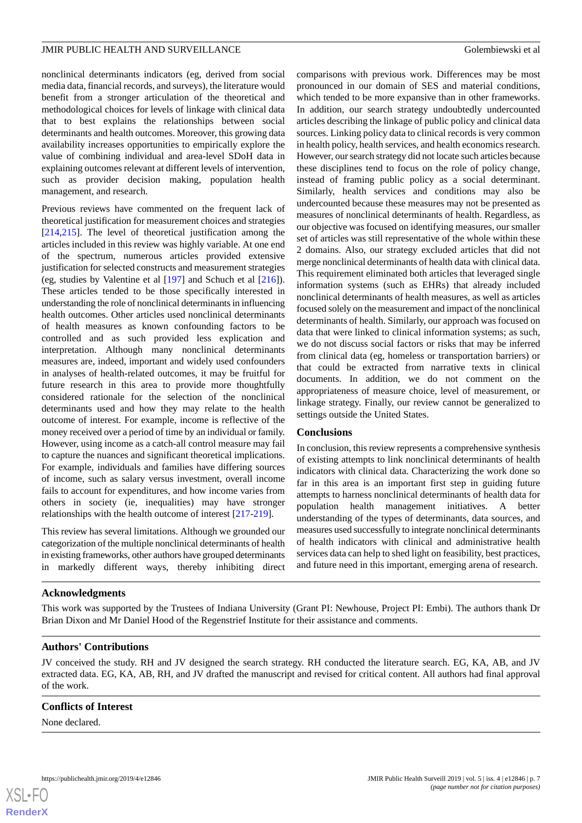nonclinical determinants indicators (eg, derived from social media data, financial records, and surveys), the literature would benefit from a stronger articulation of the theoretical and methodological choices for levels of linkage with clinical data that to best explains the relationships between social determinants and health outcomes. Moreover, this growing data availability increases opportunities to empirically explore the value of combining individual and area-level SDoH data in explaining outcomes relevant at different levels of intervention, such as provider decision making, population health management, and research.

Previous reviews have commented on the frequent lack of theoretical justification for measurement choices and strategies [[214](#page-17-19)[,215](#page-17-20)]. The level of theoretical justification among the articles included in this review was highly variable. At one end of the spectrum, numerous articles provided extensive justification for selected constructs and measurement strategies (eg, studies by Valentine et al [[197\]](#page-17-3) and Schuch et al [[216](#page-17-21)]). These articles tended to be those specifically interested in understanding the role of nonclinical determinants in influencing health outcomes. Other articles used nonclinical determinants of health measures as known confounding factors to be controlled and as such provided less explication and interpretation. Although many nonclinical determinants measures are, indeed, important and widely used confounders in analyses of health-related outcomes, it may be fruitful for future research in this area to provide more thoughtfully considered rationale for the selection of the nonclinical determinants used and how they may relate to the health outcome of interest. For example, income is reflective of the money received over a period of time by an individual or family. However, using income as a catch-all control measure may fail to capture the nuances and significant theoretical implications. For example, individuals and families have differing sources of income, such as salary versus investment, overall income fails to account for expenditures, and how income varies from others in society (ie, inequalities) may have stronger relationships with the health outcome of interest [\[217](#page-18-0)[-219](#page-18-1)].

This review has several limitations. Although we grounded our categorization of the multiple nonclinical determinants of health in existing frameworks, other authors have grouped determinants in markedly different ways, thereby inhibiting direct comparisons with previous work. Differences may be most pronounced in our domain of SES and material conditions, which tended to be more expansive than in other frameworks. In addition, our search strategy undoubtedly undercounted articles describing the linkage of public policy and clinical data sources. Linking policy data to clinical records is very common in health policy, health services, and health economics research. However, our search strategy did not locate such articles because these disciplines tend to focus on the role of policy change, instead of framing public policy as a social determinant. Similarly, health services and conditions may also be undercounted because these measures may not be presented as measures of nonclinical determinants of health. Regardless, as our objective was focused on identifying measures, our smaller set of articles was still representative of the whole within these 2 domains. Also, our strategy excluded articles that did not merge nonclinical determinants of health data with clinical data. This requirement eliminated both articles that leveraged single information systems (such as EHRs) that already included nonclinical determinants of health measures, as well as articles focused solely on the measurement and impact of the nonclinical determinants of health. Similarly, our approach was focused on data that were linked to clinical information systems; as such, we do not discuss social factors or risks that may be inferred from clinical data (eg, homeless or transportation barriers) or that could be extracted from narrative texts in clinical documents. In addition, we do not comment on the appropriateness of measure choice, level of measurement, or linkage strategy. Finally, our review cannot be generalized to settings outside the United States.

# **Conclusions**

In conclusion, this review represents a comprehensive synthesis of existing attempts to link nonclinical determinants of health indicators with clinical data. Characterizing the work done so far in this area is an important first step in guiding future attempts to harness nonclinical determinants of health data for population health management initiatives. A better understanding of the types of determinants, data sources, and measures used successfully to integrate nonclinical determinants of health indicators with clinical and administrative health services data can help to shed light on feasibility, best practices, and future need in this important, emerging arena of research.

# **Acknowledgments**

This work was supported by the Trustees of Indiana University (Grant PI: Newhouse, Project PI: Embi). The authors thank Dr Brian Dixon and Mr Daniel Hood of the Regenstrief Institute for their assistance and comments.

#### **Authors' Contributions**

JV conceived the study. RH and JV designed the search strategy. RH conducted the literature search. EG, KA, AB, and JV extracted data. EG, KA, AB, RH, and JV drafted the manuscript and revised for critical content. All authors had final approval of the work.

#### **Conflicts of Interest**

None declared.

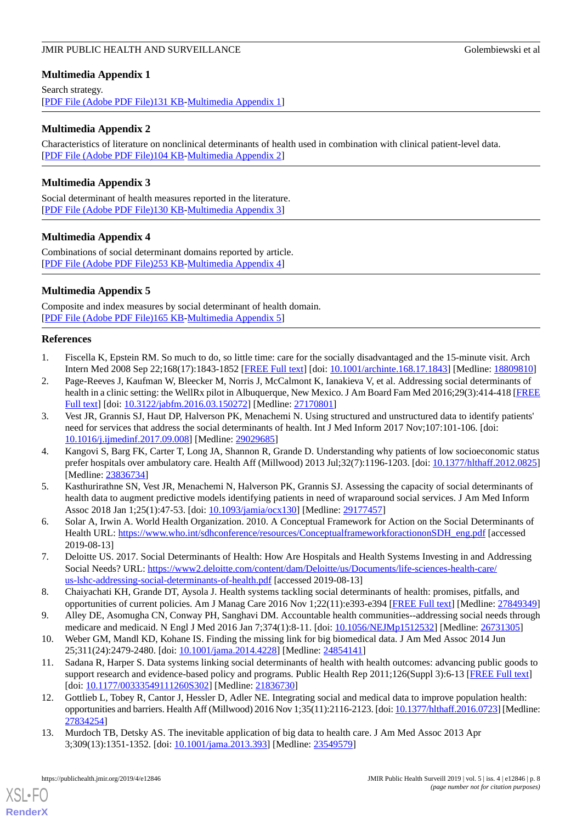# <span id="page-7-12"></span>**Multimedia Appendix 1**

Search strategy. [[PDF File \(Adobe PDF File\)131 KB](https://jmir.org/api/download?alt_name=publichealth_v5i4e12846_app1.pdf&filename=8030907389b6ecee1b70cc826237a5da.pdf)-[Multimedia Appendix 1\]](https://jmir.org/api/download?alt_name=publichealth_v5i4e12846_app1.pdf&filename=8030907389b6ecee1b70cc826237a5da.pdf)

# <span id="page-7-13"></span>**Multimedia Appendix 2**

Characteristics of literature on nonclinical determinants of health used in combination with clinical patient-level data. [[PDF File \(Adobe PDF File\)104 KB](https://jmir.org/api/download?alt_name=publichealth_v5i4e12846_app2.pdf&filename=e326d802c6ac7697207786d8194207d2.pdf)-[Multimedia Appendix 2\]](https://jmir.org/api/download?alt_name=publichealth_v5i4e12846_app2.pdf&filename=e326d802c6ac7697207786d8194207d2.pdf)

# <span id="page-7-14"></span>**Multimedia Appendix 3**

<span id="page-7-15"></span>Social determinant of health measures reported in the literature. [[PDF File \(Adobe PDF File\)130 KB](https://jmir.org/api/download?alt_name=publichealth_v5i4e12846_app3.pdf&filename=0a820aca6dae398e39962f4736391b77.pdf)-[Multimedia Appendix 3\]](https://jmir.org/api/download?alt_name=publichealth_v5i4e12846_app3.pdf&filename=0a820aca6dae398e39962f4736391b77.pdf)

# **Multimedia Appendix 4**

<span id="page-7-16"></span>Combinations of social determinant domains reported by article. [[PDF File \(Adobe PDF File\)253 KB](https://jmir.org/api/download?alt_name=publichealth_v5i4e12846_app4.pdf&filename=f9cde4c7862e74293fa0aa36f82f9bbc.pdf)-[Multimedia Appendix 4\]](https://jmir.org/api/download?alt_name=publichealth_v5i4e12846_app4.pdf&filename=f9cde4c7862e74293fa0aa36f82f9bbc.pdf)

# **Multimedia Appendix 5**

<span id="page-7-0"></span>Composite and index measures by social determinant of health domain. [[PDF File \(Adobe PDF File\)165 KB](https://jmir.org/api/download?alt_name=publichealth_v5i4e12846_app5.pdf&filename=e81a430b347826455638c435305e91b6.pdf)-[Multimedia Appendix 5\]](https://jmir.org/api/download?alt_name=publichealth_v5i4e12846_app5.pdf&filename=e81a430b347826455638c435305e91b6.pdf)

# <span id="page-7-1"></span>**References**

- 1. Fiscella K, Epstein RM. So much to do, so little time: care for the socially disadvantaged and the 15-minute visit. Arch Intern Med 2008 Sep 22;168(17):1843-1852 [\[FREE Full text](http://europepmc.org/abstract/MED/18809810)] [doi: [10.1001/archinte.168.17.1843\]](http://dx.doi.org/10.1001/archinte.168.17.1843) [Medline: [18809810\]](http://www.ncbi.nlm.nih.gov/entrez/query.fcgi?cmd=Retrieve&db=PubMed&list_uids=18809810&dopt=Abstract)
- <span id="page-7-2"></span>2. Page-Reeves J, Kaufman W, Bleecker M, Norris J, McCalmont K, Ianakieva V, et al. Addressing social determinants of health in a clinic setting: the WellRx pilot in Albuquerque, New Mexico. J Am Board Fam Med 2016;29(3):414-418 [\[FREE](http://www.jabfm.org/cgi/pmidlookup?view=long&pmid=27170801) [Full text\]](http://www.jabfm.org/cgi/pmidlookup?view=long&pmid=27170801) [doi: [10.3122/jabfm.2016.03.150272](http://dx.doi.org/10.3122/jabfm.2016.03.150272)] [Medline: [27170801](http://www.ncbi.nlm.nih.gov/entrez/query.fcgi?cmd=Retrieve&db=PubMed&list_uids=27170801&dopt=Abstract)]
- <span id="page-7-3"></span>3. Vest JR, Grannis SJ, Haut DP, Halverson PK, Menachemi N. Using structured and unstructured data to identify patients' need for services that address the social determinants of health. Int J Med Inform 2017 Nov;107:101-106. [doi: [10.1016/j.ijmedinf.2017.09.008\]](http://dx.doi.org/10.1016/j.ijmedinf.2017.09.008) [Medline: [29029685](http://www.ncbi.nlm.nih.gov/entrez/query.fcgi?cmd=Retrieve&db=PubMed&list_uids=29029685&dopt=Abstract)]
- <span id="page-7-4"></span>4. Kangovi S, Barg FK, Carter T, Long JA, Shannon R, Grande D. Understanding why patients of low socioeconomic status prefer hospitals over ambulatory care. Health Aff (Millwood) 2013 Jul;32(7):1196-1203. [doi: [10.1377/hlthaff.2012.0825](http://dx.doi.org/10.1377/hlthaff.2012.0825)] [Medline: [23836734](http://www.ncbi.nlm.nih.gov/entrez/query.fcgi?cmd=Retrieve&db=PubMed&list_uids=23836734&dopt=Abstract)]
- <span id="page-7-6"></span><span id="page-7-5"></span>5. Kasthurirathne SN, Vest JR, Menachemi N, Halverson PK, Grannis SJ. Assessing the capacity of social determinants of health data to augment predictive models identifying patients in need of wraparound social services. J Am Med Inform Assoc 2018 Jan 1;25(1):47-53. [doi: [10.1093/jamia/ocx130\]](http://dx.doi.org/10.1093/jamia/ocx130) [Medline: [29177457](http://www.ncbi.nlm.nih.gov/entrez/query.fcgi?cmd=Retrieve&db=PubMed&list_uids=29177457&dopt=Abstract)]
- <span id="page-7-7"></span>6. Solar A, Irwin A. World Health Organization. 2010. A Conceptual Framework for Action on the Social Determinants of Health URL: [https://www.who.int/sdhconference/resources/ConceptualframeworkforactiononSDH\\_eng.pdf](https://www.who.int/sdhconference/resources/ConceptualframeworkforactiononSDH_eng.pdf) [accessed 2019-08-13]
- <span id="page-7-8"></span>7. Deloitte US. 2017. Social Determinants of Health: How Are Hospitals and Health Systems Investing in and Addressing Social Needs? URL: [https://www2.deloitte.com/content/dam/Deloitte/us/Documents/life-sciences-health-care/](https://www2.deloitte.com/content/dam/Deloitte/us/Documents/life-sciences-health-care/us-lshc-addressing-social-determinants-of-health.pdf) [us-lshc-addressing-social-determinants-of-health.pdf](https://www2.deloitte.com/content/dam/Deloitte/us/Documents/life-sciences-health-care/us-lshc-addressing-social-determinants-of-health.pdf) [accessed 2019-08-13]
- <span id="page-7-10"></span><span id="page-7-9"></span>8. Chaiyachati KH, Grande DT, Aysola J. Health systems tackling social determinants of health: promises, pitfalls, and opportunities of current policies. Am J Manag Care 2016 Nov 1;22(11):e393-e394 [[FREE Full text\]](https://www.ajmc.com/pubMed.php?pii=86873) [Medline: [27849349](http://www.ncbi.nlm.nih.gov/entrez/query.fcgi?cmd=Retrieve&db=PubMed&list_uids=27849349&dopt=Abstract)]
- 9. Alley DE, Asomugha CN, Conway PH, Sanghavi DM. Accountable health communities--addressing social needs through medicare and medicaid. N Engl J Med 2016 Jan 7;374(1):8-11. [doi: [10.1056/NEJMp1512532](http://dx.doi.org/10.1056/NEJMp1512532)] [Medline: [26731305](http://www.ncbi.nlm.nih.gov/entrez/query.fcgi?cmd=Retrieve&db=PubMed&list_uids=26731305&dopt=Abstract)]
- 10. Weber GM, Mandl KD, Kohane IS. Finding the missing link for big biomedical data. J Am Med Assoc 2014 Jun 25;311(24):2479-2480. [doi: [10.1001/jama.2014.4228](http://dx.doi.org/10.1001/jama.2014.4228)] [Medline: [24854141\]](http://www.ncbi.nlm.nih.gov/entrez/query.fcgi?cmd=Retrieve&db=PubMed&list_uids=24854141&dopt=Abstract)
- <span id="page-7-11"></span>11. Sadana R, Harper S. Data systems linking social determinants of health with health outcomes: advancing public goods to support research and evidence-based policy and programs. Public Health Rep 2011;126(Suppl 3):6-13 [[FREE Full text](http://europepmc.org/abstract/MED/21836730)] [doi: [10.1177/00333549111260S302\]](http://dx.doi.org/10.1177/00333549111260S302) [Medline: [21836730\]](http://www.ncbi.nlm.nih.gov/entrez/query.fcgi?cmd=Retrieve&db=PubMed&list_uids=21836730&dopt=Abstract)
- 12. Gottlieb L, Tobey R, Cantor J, Hessler D, Adler NE. Integrating social and medical data to improve population health: opportunities and barriers. Health Aff (Millwood) 2016 Nov 1;35(11):2116-2123. [doi: [10.1377/hlthaff.2016.0723\]](http://dx.doi.org/10.1377/hlthaff.2016.0723) [Medline: [27834254](http://www.ncbi.nlm.nih.gov/entrez/query.fcgi?cmd=Retrieve&db=PubMed&list_uids=27834254&dopt=Abstract)]
- 13. Murdoch TB, Detsky AS. The inevitable application of big data to health care. J Am Med Assoc 2013 Apr 3;309(13):1351-1352. [doi: [10.1001/jama.2013.393](http://dx.doi.org/10.1001/jama.2013.393)] [Medline: [23549579\]](http://www.ncbi.nlm.nih.gov/entrez/query.fcgi?cmd=Retrieve&db=PubMed&list_uids=23549579&dopt=Abstract)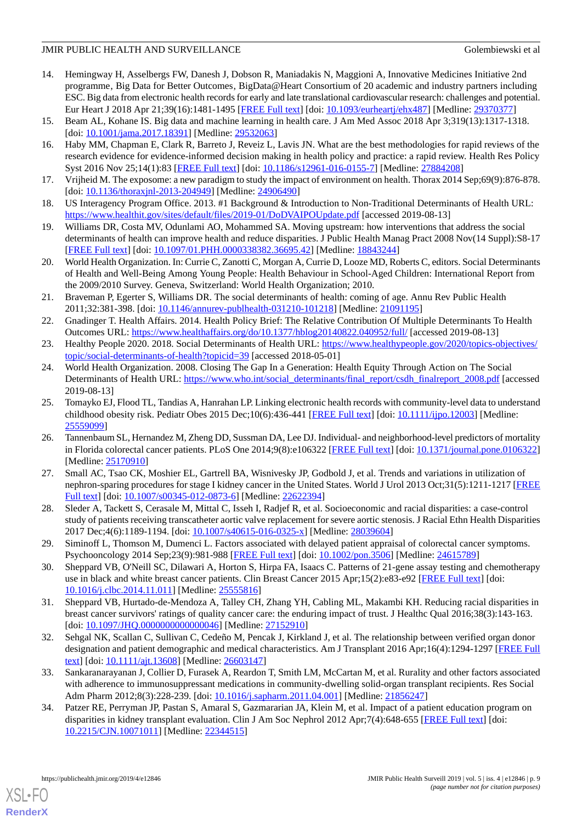- <span id="page-8-0"></span>14. Hemingway H, Asselbergs FW, Danesh J, Dobson R, Maniadakis N, Maggioni A, Innovative Medicines Initiative 2nd programme, Big Data for Better Outcomes, BigData@Heart Consortium of 20 academic and industry partners including ESC. Big data from electronic health records for early and late translational cardiovascular research: challenges and potential. Eur Heart J 2018 Apr 21;39(16):1481-1495 [\[FREE Full text\]](http://europepmc.org/abstract/MED/29370377) [doi: [10.1093/eurheartj/ehx487](http://dx.doi.org/10.1093/eurheartj/ehx487)] [Medline: [29370377\]](http://www.ncbi.nlm.nih.gov/entrez/query.fcgi?cmd=Retrieve&db=PubMed&list_uids=29370377&dopt=Abstract)
- <span id="page-8-2"></span><span id="page-8-1"></span>15. Beam AL, Kohane IS. Big data and machine learning in health care. J Am Med Assoc 2018 Apr 3;319(13):1317-1318. [doi: [10.1001/jama.2017.18391\]](http://dx.doi.org/10.1001/jama.2017.18391) [Medline: [29532063](http://www.ncbi.nlm.nih.gov/entrez/query.fcgi?cmd=Retrieve&db=PubMed&list_uids=29532063&dopt=Abstract)]
- 16. Haby MM, Chapman E, Clark R, Barreto J, Reveiz L, Lavis JN. What are the best methodologies for rapid reviews of the research evidence for evidence-informed decision making in health policy and practice: a rapid review. Health Res Policy Syst 2016 Nov 25;14(1):83 [\[FREE Full text\]](https://health-policy-systems.biomedcentral.com/articles/10.1186/s12961-016-0155-7) [doi: [10.1186/s12961-016-0155-7](http://dx.doi.org/10.1186/s12961-016-0155-7)] [Medline: [27884208\]](http://www.ncbi.nlm.nih.gov/entrez/query.fcgi?cmd=Retrieve&db=PubMed&list_uids=27884208&dopt=Abstract)
- <span id="page-8-3"></span>17. Vrijheid M. The exposome: a new paradigm to study the impact of environment on health. Thorax 2014 Sep;69(9):876-878. [doi: [10.1136/thoraxjnl-2013-204949\]](http://dx.doi.org/10.1136/thoraxjnl-2013-204949) [Medline: [24906490\]](http://www.ncbi.nlm.nih.gov/entrez/query.fcgi?cmd=Retrieve&db=PubMed&list_uids=24906490&dopt=Abstract)
- <span id="page-8-4"></span>18. US Interagency Program Office. 2013. #1 Background & Introduction to Non-Traditional Determinants of Health URL: <https://www.healthit.gov/sites/default/files/2019-01/DoDVAIPOUpdate.pdf> [accessed 2019-08-13]
- <span id="page-8-5"></span>19. Williams DR, Costa MV, Odunlami AO, Mohammed SA. Moving upstream: how interventions that address the social determinants of health can improve health and reduce disparities. J Public Health Manag Pract 2008 Nov(14 Suppl):S8-17 [[FREE Full text](http://europepmc.org/abstract/MED/18843244)] [doi: [10.1097/01.PHH.0000338382.36695.42\]](http://dx.doi.org/10.1097/01.PHH.0000338382.36695.42) [Medline: [18843244\]](http://www.ncbi.nlm.nih.gov/entrez/query.fcgi?cmd=Retrieve&db=PubMed&list_uids=18843244&dopt=Abstract)
- <span id="page-8-6"></span>20. World Health Organization. In: Currie C, Zanotti C, Morgan A, Currie D, Looze MD, Roberts C, editors. Social Determinants of Health and Well-Being Among Young People: Health Behaviour in School-Aged Children: International Report from the 2009/2010 Survey. Geneva, Switzerland: World Health Organization; 2010.
- <span id="page-8-7"></span>21. Braveman P, Egerter S, Williams DR. The social determinants of health: coming of age. Annu Rev Public Health 2011;32:381-398. [doi: [10.1146/annurev-publhealth-031210-101218](http://dx.doi.org/10.1146/annurev-publhealth-031210-101218)] [Medline: [21091195](http://www.ncbi.nlm.nih.gov/entrez/query.fcgi?cmd=Retrieve&db=PubMed&list_uids=21091195&dopt=Abstract)]
- <span id="page-8-8"></span>22. Gnadinger T. Health Affairs. 2014. Health Policy Brief: The Relative Contribution Of Multiple Determinants To Health Outcomes URL: <https://www.healthaffairs.org/do/10.1377/hblog20140822.040952/full/> [accessed 2019-08-13]
- 23. Healthy People 2020. 2018. Social Determinants of Health URL: [https://www.healthypeople.gov/2020/topics-objectives/](https://www.healthypeople.gov/2020/topics-objectives/topic/social-determinants-of-health?topicid=39) [topic/social-determinants-of-health?topicid=39](https://www.healthypeople.gov/2020/topics-objectives/topic/social-determinants-of-health?topicid=39) [accessed 2018-05-01]
- <span id="page-8-9"></span>24. World Health Organization. 2008. Closing The Gap In a Generation: Health Equity Through Action on The Social Determinants of Health URL: [https://www.who.int/social\\_determinants/final\\_report/csdh\\_finalreport\\_2008.pdf](https://www.who.int/social_determinants/final_report/csdh_finalreport_2008.pdf) [accessed 2019-08-13]
- 25. Tomayko EJ, Flood TL, Tandias A, Hanrahan LP. Linking electronic health records with community-level data to understand childhood obesity risk. Pediatr Obes 2015 Dec;10(6):436-441 [\[FREE Full text\]](http://europepmc.org/abstract/MED/25559099) [doi: [10.1111/ijpo.12003](http://dx.doi.org/10.1111/ijpo.12003)] [Medline: [25559099](http://www.ncbi.nlm.nih.gov/entrez/query.fcgi?cmd=Retrieve&db=PubMed&list_uids=25559099&dopt=Abstract)]
- 26. Tannenbaum SL, Hernandez M, Zheng DD, Sussman DA, Lee DJ. Individual- and neighborhood-level predictors of mortality in Florida colorectal cancer patients. PLoS One 2014;9(8):e106322 [[FREE Full text\]](http://dx.plos.org/10.1371/journal.pone.0106322) [doi: [10.1371/journal.pone.0106322](http://dx.doi.org/10.1371/journal.pone.0106322)] [Medline: [25170910](http://www.ncbi.nlm.nih.gov/entrez/query.fcgi?cmd=Retrieve&db=PubMed&list_uids=25170910&dopt=Abstract)]
- 27. Small AC, Tsao CK, Moshier EL, Gartrell BA, Wisnivesky JP, Godbold J, et al. Trends and variations in utilization of nephron-sparing procedures for stage I kidney cancer in the United States. World J Urol 2013 Oct;31(5):1211-1217 [\[FREE](http://europepmc.org/abstract/MED/22622394) [Full text\]](http://europepmc.org/abstract/MED/22622394) [doi: [10.1007/s00345-012-0873-6](http://dx.doi.org/10.1007/s00345-012-0873-6)] [Medline: [22622394](http://www.ncbi.nlm.nih.gov/entrez/query.fcgi?cmd=Retrieve&db=PubMed&list_uids=22622394&dopt=Abstract)]
- 28. Sleder A, Tackett S, Cerasale M, Mittal C, Isseh I, Radjef R, et al. Socioeconomic and racial disparities: a case-control study of patients receiving transcatheter aortic valve replacement for severe aortic stenosis. J Racial Ethn Health Disparities 2017 Dec;4(6):1189-1194. [doi: [10.1007/s40615-016-0325-x](http://dx.doi.org/10.1007/s40615-016-0325-x)] [Medline: [28039604\]](http://www.ncbi.nlm.nih.gov/entrez/query.fcgi?cmd=Retrieve&db=PubMed&list_uids=28039604&dopt=Abstract)
- 29. Siminoff L, Thomson M, Dumenci L. Factors associated with delayed patient appraisal of colorectal cancer symptoms. Psychooncology 2014 Sep;23(9):981-988 [\[FREE Full text](http://europepmc.org/abstract/MED/24615789)] [doi: [10.1002/pon.3506](http://dx.doi.org/10.1002/pon.3506)] [Medline: [24615789](http://www.ncbi.nlm.nih.gov/entrez/query.fcgi?cmd=Retrieve&db=PubMed&list_uids=24615789&dopt=Abstract)]
- 30. Sheppard VB, O'Neill SC, Dilawari A, Horton S, Hirpa FA, Isaacs C. Patterns of 21-gene assay testing and chemotherapy use in black and white breast cancer patients. Clin Breast Cancer 2015 Apr;15(2):e83-e92 [\[FREE Full text\]](http://europepmc.org/abstract/MED/25555816) [doi: [10.1016/j.clbc.2014.11.011](http://dx.doi.org/10.1016/j.clbc.2014.11.011)] [Medline: [25555816](http://www.ncbi.nlm.nih.gov/entrez/query.fcgi?cmd=Retrieve&db=PubMed&list_uids=25555816&dopt=Abstract)]
- 31. Sheppard VB, Hurtado-de-Mendoza A, Talley CH, Zhang YH, Cabling ML, Makambi KH. Reducing racial disparities in breast cancer survivors' ratings of quality cancer care: the enduring impact of trust. J Healthc Qual 2016;38(3):143-163. [doi: [10.1097/JHQ.0000000000000046](http://dx.doi.org/10.1097/JHQ.0000000000000046)] [Medline: [27152910\]](http://www.ncbi.nlm.nih.gov/entrez/query.fcgi?cmd=Retrieve&db=PubMed&list_uids=27152910&dopt=Abstract)
- 32. Sehgal NK, Scallan C, Sullivan C, Cedeño M, Pencak J, Kirkland J, et al. The relationship between verified organ donor designation and patient demographic and medical characteristics. Am J Transplant 2016 Apr;16(4):1294-1297 [[FREE Full](https://doi.org/10.1111/ajt.13608) [text](https://doi.org/10.1111/ajt.13608)] [doi: [10.1111/ajt.13608](http://dx.doi.org/10.1111/ajt.13608)] [Medline: [26603147](http://www.ncbi.nlm.nih.gov/entrez/query.fcgi?cmd=Retrieve&db=PubMed&list_uids=26603147&dopt=Abstract)]
- 33. Sankaranarayanan J, Collier D, Furasek A, Reardon T, Smith LM, McCartan M, et al. Rurality and other factors associated with adherence to immunosuppressant medications in community-dwelling solid-organ transplant recipients. Res Social Adm Pharm 2012;8(3):228-239. [doi: [10.1016/j.sapharm.2011.04.001](http://dx.doi.org/10.1016/j.sapharm.2011.04.001)] [Medline: [21856247](http://www.ncbi.nlm.nih.gov/entrez/query.fcgi?cmd=Retrieve&db=PubMed&list_uids=21856247&dopt=Abstract)]
- 34. Patzer RE, Perryman JP, Pastan S, Amaral S, Gazmararian JA, Klein M, et al. Impact of a patient education program on disparities in kidney transplant evaluation. Clin J Am Soc Nephrol 2012 Apr;7(4):648-655 [[FREE Full text](http://cjasn.asnjournals.org/cgi/pmidlookup?view=long&pmid=22344515)] [doi: [10.2215/CJN.10071011](http://dx.doi.org/10.2215/CJN.10071011)] [Medline: [22344515\]](http://www.ncbi.nlm.nih.gov/entrez/query.fcgi?cmd=Retrieve&db=PubMed&list_uids=22344515&dopt=Abstract)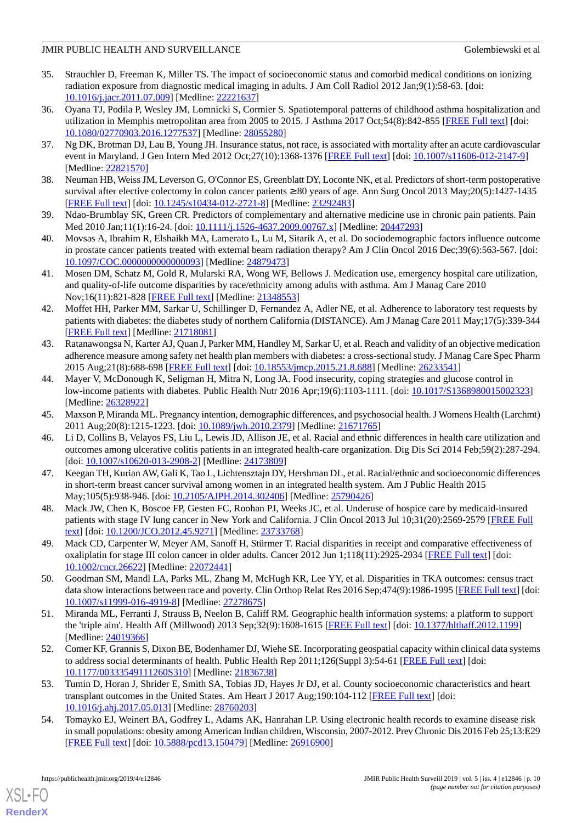- 35. Strauchler D, Freeman K, Miller TS. The impact of socioeconomic status and comorbid medical conditions on ionizing radiation exposure from diagnostic medical imaging in adults. J Am Coll Radiol 2012 Jan;9(1):58-63. [doi: [10.1016/j.jacr.2011.07.009](http://dx.doi.org/10.1016/j.jacr.2011.07.009)] [Medline: [22221637\]](http://www.ncbi.nlm.nih.gov/entrez/query.fcgi?cmd=Retrieve&db=PubMed&list_uids=22221637&dopt=Abstract)
- 36. Oyana TJ, Podila P, Wesley JM, Lomnicki S, Cormier S. Spatiotemporal patterns of childhood asthma hospitalization and utilization in Memphis metropolitan area from 2005 to 2015. J Asthma 2017 Oct;54(8):842-855 [[FREE Full text](http://europepmc.org/abstract/MED/28055280)] [doi: [10.1080/02770903.2016.1277537\]](http://dx.doi.org/10.1080/02770903.2016.1277537) [Medline: [28055280\]](http://www.ncbi.nlm.nih.gov/entrez/query.fcgi?cmd=Retrieve&db=PubMed&list_uids=28055280&dopt=Abstract)
- 37. Ng DK, Brotman DJ, Lau B, Young JH. Insurance status, not race, is associated with mortality after an acute cardiovascular event in Maryland. J Gen Intern Med 2012 Oct;27(10):1368-1376 [[FREE Full text\]](http://europepmc.org/abstract/MED/22821570) [doi: [10.1007/s11606-012-2147-9](http://dx.doi.org/10.1007/s11606-012-2147-9)] [Medline: [22821570](http://www.ncbi.nlm.nih.gov/entrez/query.fcgi?cmd=Retrieve&db=PubMed&list_uids=22821570&dopt=Abstract)]
- 38. Neuman HB, Weiss JM, Leverson G, O'Connor ES, Greenblatt DY, Loconte NK, et al. Predictors of short-term postoperative survival after elective colectomy in colon cancer patients ≥ 80 years of age. Ann Surg Oncol 2013 May;20(5):1427-1435 [[FREE Full text](http://europepmc.org/abstract/MED/23292483)] [doi: [10.1245/s10434-012-2721-8\]](http://dx.doi.org/10.1245/s10434-012-2721-8) [Medline: [23292483](http://www.ncbi.nlm.nih.gov/entrez/query.fcgi?cmd=Retrieve&db=PubMed&list_uids=23292483&dopt=Abstract)]
- 39. Ndao-Brumblay SK, Green CR. Predictors of complementary and alternative medicine use in chronic pain patients. Pain Med 2010 Jan;11(1):16-24. [doi: [10.1111/j.1526-4637.2009.00767.x\]](http://dx.doi.org/10.1111/j.1526-4637.2009.00767.x) [Medline: [20447293](http://www.ncbi.nlm.nih.gov/entrez/query.fcgi?cmd=Retrieve&db=PubMed&list_uids=20447293&dopt=Abstract)]
- 40. Movsas A, Ibrahim R, Elshaikh MA, Lamerato L, Lu M, Sitarik A, et al. Do sociodemographic factors influence outcome in prostate cancer patients treated with external beam radiation therapy? Am J Clin Oncol 2016 Dec;39(6):563-567. [doi: [10.1097/COC.0000000000000093\]](http://dx.doi.org/10.1097/COC.0000000000000093) [Medline: [24879473\]](http://www.ncbi.nlm.nih.gov/entrez/query.fcgi?cmd=Retrieve&db=PubMed&list_uids=24879473&dopt=Abstract)
- 41. Mosen DM, Schatz M, Gold R, Mularski RA, Wong WF, Bellows J. Medication use, emergency hospital care utilization, and quality-of-life outcome disparities by race/ethnicity among adults with asthma. Am J Manag Care 2010 Nov;16(11):821-828 [[FREE Full text](https://www.ajmc.com/pubMed.php?pii=12748)] [Medline: [21348553](http://www.ncbi.nlm.nih.gov/entrez/query.fcgi?cmd=Retrieve&db=PubMed&list_uids=21348553&dopt=Abstract)]
- 42. Moffet HH, Parker MM, Sarkar U, Schillinger D, Fernandez A, Adler NE, et al. Adherence to laboratory test requests by patients with diabetes: the diabetes study of northern California (DISTANCE). Am J Manag Care 2011 May;17(5):339-344 [[FREE Full text](https://www.ajmc.com/pubMed.php?pii=49467)] [Medline: [21718081](http://www.ncbi.nlm.nih.gov/entrez/query.fcgi?cmd=Retrieve&db=PubMed&list_uids=21718081&dopt=Abstract)]
- 43. Ratanawongsa N, Karter AJ, Quan J, Parker MM, Handley M, Sarkar U, et al. Reach and validity of an objective medication adherence measure among safety net health plan members with diabetes: a cross-sectional study. J Manag Care Spec Pharm 2015 Aug;21(8):688-698 [[FREE Full text](https://dx.doi.org/10.18553/jmcp.2015.21.8.688)] [doi: [10.18553/jmcp.2015.21.8.688](http://dx.doi.org/10.18553/jmcp.2015.21.8.688)] [Medline: [26233541](http://www.ncbi.nlm.nih.gov/entrez/query.fcgi?cmd=Retrieve&db=PubMed&list_uids=26233541&dopt=Abstract)]
- 44. Mayer V, McDonough K, Seligman H, Mitra N, Long JA. Food insecurity, coping strategies and glucose control in low-income patients with diabetes. Public Health Nutr 2016 Apr;19(6):1103-1111. [doi: [10.1017/S1368980015002323](http://dx.doi.org/10.1017/S1368980015002323)] [Medline: [26328922](http://www.ncbi.nlm.nih.gov/entrez/query.fcgi?cmd=Retrieve&db=PubMed&list_uids=26328922&dopt=Abstract)]
- 45. Maxson P, Miranda ML. Pregnancy intention, demographic differences, and psychosocial health. J Womens Health (Larchmt) 2011 Aug;20(8):1215-1223. [doi: [10.1089/jwh.2010.2379](http://dx.doi.org/10.1089/jwh.2010.2379)] [Medline: [21671765](http://www.ncbi.nlm.nih.gov/entrez/query.fcgi?cmd=Retrieve&db=PubMed&list_uids=21671765&dopt=Abstract)]
- 46. Li D, Collins B, Velayos FS, Liu L, Lewis JD, Allison JE, et al. Racial and ethnic differences in health care utilization and outcomes among ulcerative colitis patients in an integrated health-care organization. Dig Dis Sci 2014 Feb;59(2):287-294. [doi: [10.1007/s10620-013-2908-2](http://dx.doi.org/10.1007/s10620-013-2908-2)] [Medline: [24173809\]](http://www.ncbi.nlm.nih.gov/entrez/query.fcgi?cmd=Retrieve&db=PubMed&list_uids=24173809&dopt=Abstract)
- 47. Keegan TH, Kurian AW, Gali K, Tao L, Lichtensztajn DY, Hershman DL, et al. Racial/ethnic and socioeconomic differences in short-term breast cancer survival among women in an integrated health system. Am J Public Health 2015 May;105(5):938-946. [doi: [10.2105/AJPH.2014.302406\]](http://dx.doi.org/10.2105/AJPH.2014.302406) [Medline: [25790426\]](http://www.ncbi.nlm.nih.gov/entrez/query.fcgi?cmd=Retrieve&db=PubMed&list_uids=25790426&dopt=Abstract)
- 48. Mack JW, Chen K, Boscoe FP, Gesten FC, Roohan PJ, Weeks JC, et al. Underuse of hospice care by medicaid-insured patients with stage IV lung cancer in New York and California. J Clin Oncol 2013 Jul 10;31(20):2569-2579 [\[FREE Full](http://europepmc.org/abstract/MED/23733768) [text](http://europepmc.org/abstract/MED/23733768)] [doi: [10.1200/JCO.2012.45.9271](http://dx.doi.org/10.1200/JCO.2012.45.9271)] [Medline: [23733768\]](http://www.ncbi.nlm.nih.gov/entrez/query.fcgi?cmd=Retrieve&db=PubMed&list_uids=23733768&dopt=Abstract)
- 49. Mack CD, Carpenter W, Meyer AM, Sanoff H, Stürmer T. Racial disparities in receipt and comparative effectiveness of oxaliplatin for stage III colon cancer in older adults. Cancer 2012 Jun 1;118(11):2925-2934 [\[FREE Full text](https://doi.org/10.1002/cncr.26622)] [doi: [10.1002/cncr.26622\]](http://dx.doi.org/10.1002/cncr.26622) [Medline: [22072441\]](http://www.ncbi.nlm.nih.gov/entrez/query.fcgi?cmd=Retrieve&db=PubMed&list_uids=22072441&dopt=Abstract)
- 50. Goodman SM, Mandl LA, Parks ML, Zhang M, McHugh KR, Lee YY, et al. Disparities in TKA outcomes: census tract data show interactions between race and poverty. Clin Orthop Relat Res 2016 Sep;474(9):1986-1995 [\[FREE Full text](http://europepmc.org/abstract/MED/27278675)] [doi: [10.1007/s11999-016-4919-8\]](http://dx.doi.org/10.1007/s11999-016-4919-8) [Medline: [27278675](http://www.ncbi.nlm.nih.gov/entrez/query.fcgi?cmd=Retrieve&db=PubMed&list_uids=27278675&dopt=Abstract)]
- 51. Miranda ML, Ferranti J, Strauss B, Neelon B, Califf RM. Geographic health information systems: a platform to support the 'triple aim'. Health Aff (Millwood) 2013 Sep;32(9):1608-1615 [\[FREE Full text](http://europepmc.org/abstract/MED/24019366)] [doi: [10.1377/hlthaff.2012.1199](http://dx.doi.org/10.1377/hlthaff.2012.1199)] [Medline: [24019366](http://www.ncbi.nlm.nih.gov/entrez/query.fcgi?cmd=Retrieve&db=PubMed&list_uids=24019366&dopt=Abstract)]
- 52. Comer KF, Grannis S, Dixon BE, Bodenhamer DJ, Wiehe SE. Incorporating geospatial capacity within clinical data systems to address social determinants of health. Public Health Rep 2011;126(Suppl 3):54-61 [[FREE Full text](http://europepmc.org/abstract/MED/21836738)] [doi: [10.1177/00333549111260S310](http://dx.doi.org/10.1177/00333549111260S310)] [Medline: [21836738](http://www.ncbi.nlm.nih.gov/entrez/query.fcgi?cmd=Retrieve&db=PubMed&list_uids=21836738&dopt=Abstract)]
- 53. Tumin D, Horan J, Shrider E, Smith SA, Tobias JD, Hayes Jr DJ, et al. County socioeconomic characteristics and heart transplant outcomes in the United States. Am Heart J 2017 Aug;190:104-112 [[FREE Full text](http://europepmc.org/abstract/MED/28760203)] [doi: [10.1016/j.ahj.2017.05.013\]](http://dx.doi.org/10.1016/j.ahj.2017.05.013) [Medline: [28760203\]](http://www.ncbi.nlm.nih.gov/entrez/query.fcgi?cmd=Retrieve&db=PubMed&list_uids=28760203&dopt=Abstract)
- 54. Tomayko EJ, Weinert BA, Godfrey L, Adams AK, Hanrahan LP. Using electronic health records to examine disease risk in small populations: obesity among American Indian children, Wisconsin, 2007-2012. Prev Chronic Dis 2016 Feb 25;13:E29 [[FREE Full text](https://www.cdc.gov/pcd/issues/2016/15_0479.htm)] [doi: [10.5888/pcd13.150479\]](http://dx.doi.org/10.5888/pcd13.150479) [Medline: [26916900\]](http://www.ncbi.nlm.nih.gov/entrez/query.fcgi?cmd=Retrieve&db=PubMed&list_uids=26916900&dopt=Abstract)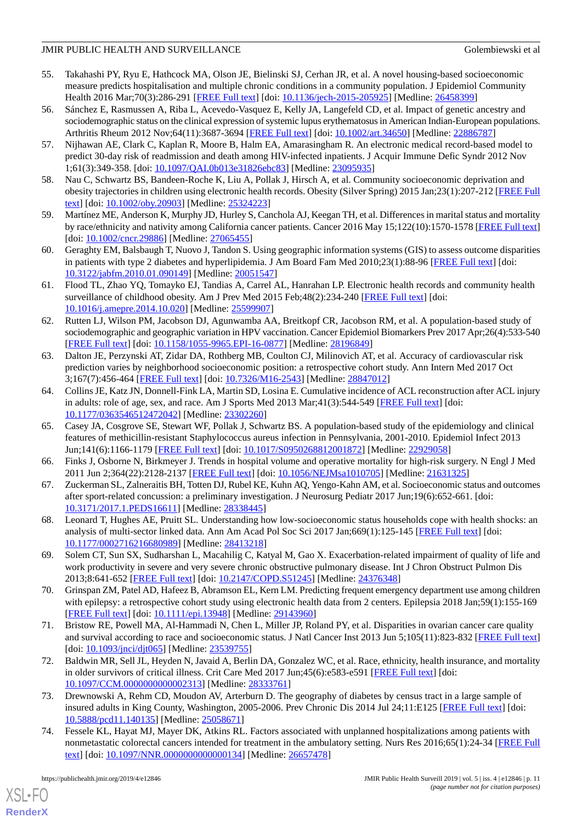- 55. Takahashi PY, Ryu E, Hathcock MA, Olson JE, Bielinski SJ, Cerhan JR, et al. A novel housing-based socioeconomic measure predicts hospitalisation and multiple chronic conditions in a community population. J Epidemiol Community Health 2016 Mar;70(3):286-291 [\[FREE Full text\]](http://europepmc.org/abstract/MED/26458399) [doi: [10.1136/jech-2015-205925\]](http://dx.doi.org/10.1136/jech-2015-205925) [Medline: [26458399](http://www.ncbi.nlm.nih.gov/entrez/query.fcgi?cmd=Retrieve&db=PubMed&list_uids=26458399&dopt=Abstract)]
- 56. Sánchez E, Rasmussen A, Riba L, Acevedo-Vasquez E, Kelly JA, Langefeld CD, et al. Impact of genetic ancestry and sociodemographic status on the clinical expression of systemic lupus erythematosus in American Indian-European populations. Arthritis Rheum 2012 Nov;64(11):3687-3694 [\[FREE Full text\]](https://doi.org/10.1002/art.34650) [doi: [10.1002/art.34650](http://dx.doi.org/10.1002/art.34650)] [Medline: [22886787\]](http://www.ncbi.nlm.nih.gov/entrez/query.fcgi?cmd=Retrieve&db=PubMed&list_uids=22886787&dopt=Abstract)
- 57. Nijhawan AE, Clark C, Kaplan R, Moore B, Halm EA, Amarasingham R. An electronic medical record-based model to predict 30-day risk of readmission and death among HIV-infected inpatients. J Acquir Immune Defic Syndr 2012 Nov 1;61(3):349-358. [doi: [10.1097/QAI.0b013e31826ebc83](http://dx.doi.org/10.1097/QAI.0b013e31826ebc83)] [Medline: [23095935](http://www.ncbi.nlm.nih.gov/entrez/query.fcgi?cmd=Retrieve&db=PubMed&list_uids=23095935&dopt=Abstract)]
- 58. Nau C, Schwartz BS, Bandeen-Roche K, Liu A, Pollak J, Hirsch A, et al. Community socioeconomic deprivation and obesity trajectories in children using electronic health records. Obesity (Silver Spring) 2015 Jan;23(1):207-212 [\[FREE Full](https://doi.org/10.1002/oby.20903) [text](https://doi.org/10.1002/oby.20903)] [doi: [10.1002/oby.20903\]](http://dx.doi.org/10.1002/oby.20903) [Medline: [25324223\]](http://www.ncbi.nlm.nih.gov/entrez/query.fcgi?cmd=Retrieve&db=PubMed&list_uids=25324223&dopt=Abstract)
- 59. Martínez ME, Anderson K, Murphy JD, Hurley S, Canchola AJ, Keegan TH, et al. Differences in marital status and mortality by race/ethnicity and nativity among California cancer patients. Cancer 2016 May 15;122(10):1570-1578 [[FREE Full text](https://doi.org/10.1002/cncr.29886)] [doi: [10.1002/cncr.29886](http://dx.doi.org/10.1002/cncr.29886)] [Medline: [27065455](http://www.ncbi.nlm.nih.gov/entrez/query.fcgi?cmd=Retrieve&db=PubMed&list_uids=27065455&dopt=Abstract)]
- 60. Geraghty EM, Balsbaugh T, Nuovo J, Tandon S. Using geographic information systems (GIS) to assess outcome disparities in patients with type 2 diabetes and hyperlipidemia. J Am Board Fam Med 2010;23(1):88-96 [[FREE Full text](http://www.jabfm.org/cgi/pmidlookup?view=long&pmid=20051547)] [doi: [10.3122/jabfm.2010.01.090149\]](http://dx.doi.org/10.3122/jabfm.2010.01.090149) [Medline: [20051547](http://www.ncbi.nlm.nih.gov/entrez/query.fcgi?cmd=Retrieve&db=PubMed&list_uids=20051547&dopt=Abstract)]
- 61. Flood TL, Zhao YQ, Tomayko EJ, Tandias A, Carrel AL, Hanrahan LP. Electronic health records and community health surveillance of childhood obesity. Am J Prev Med 2015 Feb;48(2):234-240 [[FREE Full text](http://europepmc.org/abstract/MED/25599907)] [doi: [10.1016/j.amepre.2014.10.020](http://dx.doi.org/10.1016/j.amepre.2014.10.020)] [Medline: [25599907\]](http://www.ncbi.nlm.nih.gov/entrez/query.fcgi?cmd=Retrieve&db=PubMed&list_uids=25599907&dopt=Abstract)
- 62. Rutten LJ, Wilson PM, Jacobson DJ, Agunwamba AA, Breitkopf CR, Jacobson RM, et al. A population-based study of sociodemographic and geographic variation in HPV vaccination. Cancer Epidemiol Biomarkers Prev 2017 Apr;26(4):533-540 [[FREE Full text](http://cebp.aacrjournals.org/cgi/pmidlookup?view=long&pmid=28196849)] [doi: [10.1158/1055-9965.EPI-16-0877](http://dx.doi.org/10.1158/1055-9965.EPI-16-0877)] [Medline: [28196849](http://www.ncbi.nlm.nih.gov/entrez/query.fcgi?cmd=Retrieve&db=PubMed&list_uids=28196849&dopt=Abstract)]
- 63. Dalton JE, Perzynski AT, Zidar DA, Rothberg MB, Coulton CJ, Milinovich AT, et al. Accuracy of cardiovascular risk prediction varies by neighborhood socioeconomic position: a retrospective cohort study. Ann Intern Med 2017 Oct 3;167(7):456-464 [[FREE Full text](http://europepmc.org/abstract/MED/28847012)] [doi: [10.7326/M16-2543](http://dx.doi.org/10.7326/M16-2543)] [Medline: [28847012\]](http://www.ncbi.nlm.nih.gov/entrez/query.fcgi?cmd=Retrieve&db=PubMed&list_uids=28847012&dopt=Abstract)
- 64. Collins JE, Katz JN, Donnell-Fink LA, Martin SD, Losina E. Cumulative incidence of ACL reconstruction after ACL injury in adults: role of age, sex, and race. Am J Sports Med 2013 Mar;41(3):544-549 [[FREE Full text](http://europepmc.org/abstract/MED/23302260)] [doi: [10.1177/0363546512472042\]](http://dx.doi.org/10.1177/0363546512472042) [Medline: [23302260\]](http://www.ncbi.nlm.nih.gov/entrez/query.fcgi?cmd=Retrieve&db=PubMed&list_uids=23302260&dopt=Abstract)
- 65. Casey JA, Cosgrove SE, Stewart WF, Pollak J, Schwartz BS. A population-based study of the epidemiology and clinical features of methicillin-resistant Staphylococcus aureus infection in Pennsylvania, 2001-2010. Epidemiol Infect 2013 Jun;141(6):1166-1179 [[FREE Full text](http://europepmc.org/abstract/MED/22929058)] [doi: [10.1017/S0950268812001872](http://dx.doi.org/10.1017/S0950268812001872)] [Medline: [22929058](http://www.ncbi.nlm.nih.gov/entrez/query.fcgi?cmd=Retrieve&db=PubMed&list_uids=22929058&dopt=Abstract)]
- 66. Finks J, Osborne N, Birkmeyer J. Trends in hospital volume and operative mortality for high-risk surgery. N Engl J Med 2011 Jun 2;364(22):2128-2137 [[FREE Full text](http://europepmc.org/abstract/MED/21631325)] [doi: [10.1056/NEJMsa1010705](http://dx.doi.org/10.1056/NEJMsa1010705)] [Medline: [21631325\]](http://www.ncbi.nlm.nih.gov/entrez/query.fcgi?cmd=Retrieve&db=PubMed&list_uids=21631325&dopt=Abstract)
- 67. Zuckerman SL, Zalneraitis BH, Totten DJ, Rubel KE, Kuhn AQ, Yengo-Kahn AM, et al. Socioeconomic status and outcomes after sport-related concussion: a preliminary investigation. J Neurosurg Pediatr 2017 Jun;19(6):652-661. [doi: [10.3171/2017.1.PEDS16611](http://dx.doi.org/10.3171/2017.1.PEDS16611)] [Medline: [28338445](http://www.ncbi.nlm.nih.gov/entrez/query.fcgi?cmd=Retrieve&db=PubMed&list_uids=28338445&dopt=Abstract)]
- 68. Leonard T, Hughes AE, Pruitt SL. Understanding how low-socioeconomic status households cope with health shocks: an analysis of multi-sector linked data. Ann Am Acad Pol Soc Sci 2017 Jan;669(1):125-145 [[FREE Full text](http://europepmc.org/abstract/MED/28413218)] [doi: [10.1177/0002716216680989\]](http://dx.doi.org/10.1177/0002716216680989) [Medline: [28413218\]](http://www.ncbi.nlm.nih.gov/entrez/query.fcgi?cmd=Retrieve&db=PubMed&list_uids=28413218&dopt=Abstract)
- 69. Solem CT, Sun SX, Sudharshan L, Macahilig C, Katyal M, Gao X. Exacerbation-related impairment of quality of life and work productivity in severe and very severe chronic obstructive pulmonary disease. Int J Chron Obstruct Pulmon Dis 2013;8:641-652 [\[FREE Full text\]](https://dx.doi.org/10.2147/COPD.S51245) [doi: [10.2147/COPD.S51245\]](http://dx.doi.org/10.2147/COPD.S51245) [Medline: [24376348\]](http://www.ncbi.nlm.nih.gov/entrez/query.fcgi?cmd=Retrieve&db=PubMed&list_uids=24376348&dopt=Abstract)
- 70. Grinspan ZM, Patel AD, Hafeez B, Abramson EL, Kern LM. Predicting frequent emergency department use among children with epilepsy: a retrospective cohort study using electronic health data from 2 centers. Epilepsia 2018 Jan;59(1):155-169 [[FREE Full text](https://doi.org/10.1111/epi.13948)] [doi: [10.1111/epi.13948](http://dx.doi.org/10.1111/epi.13948)] [Medline: [29143960](http://www.ncbi.nlm.nih.gov/entrez/query.fcgi?cmd=Retrieve&db=PubMed&list_uids=29143960&dopt=Abstract)]
- 71. Bristow RE, Powell MA, Al-Hammadi N, Chen L, Miller JP, Roland PY, et al. Disparities in ovarian cancer care quality and survival according to race and socioeconomic status. J Natl Cancer Inst 2013 Jun 5;105(11):823-832 [\[FREE Full text](http://europepmc.org/abstract/MED/23539755)] [doi: [10.1093/jnci/djt065](http://dx.doi.org/10.1093/jnci/djt065)] [Medline: [23539755](http://www.ncbi.nlm.nih.gov/entrez/query.fcgi?cmd=Retrieve&db=PubMed&list_uids=23539755&dopt=Abstract)]
- 72. Baldwin MR, Sell JL, Heyden N, Javaid A, Berlin DA, Gonzalez WC, et al. Race, ethnicity, health insurance, and mortality in older survivors of critical illness. Crit Care Med 2017 Jun;45(6):e583-e591 [[FREE Full text](http://europepmc.org/abstract/MED/28333761)] [doi: [10.1097/CCM.0000000000002313](http://dx.doi.org/10.1097/CCM.0000000000002313)] [Medline: [28333761](http://www.ncbi.nlm.nih.gov/entrez/query.fcgi?cmd=Retrieve&db=PubMed&list_uids=28333761&dopt=Abstract)]
- 73. Drewnowski A, Rehm CD, Moudon AV, Arterburn D. The geography of diabetes by census tract in a large sample of insured adults in King County, Washington, 2005-2006. Prev Chronic Dis 2014 Jul 24;11:E125 [\[FREE Full text\]](https://www.cdc.gov/pcd/issues/2014/14_0135.htm) [doi: [10.5888/pcd11.140135\]](http://dx.doi.org/10.5888/pcd11.140135) [Medline: [25058671](http://www.ncbi.nlm.nih.gov/entrez/query.fcgi?cmd=Retrieve&db=PubMed&list_uids=25058671&dopt=Abstract)]
- 74. Fessele KL, Hayat MJ, Mayer DK, Atkins RL. Factors associated with unplanned hospitalizations among patients with nonmetastatic colorectal cancers intended for treatment in the ambulatory setting. Nurs Res 2016;65(1):24-34 [[FREE Full](http://europepmc.org/abstract/MED/26657478) [text](http://europepmc.org/abstract/MED/26657478)] [doi: [10.1097/NNR.0000000000000134\]](http://dx.doi.org/10.1097/NNR.0000000000000134) [Medline: [26657478](http://www.ncbi.nlm.nih.gov/entrez/query.fcgi?cmd=Retrieve&db=PubMed&list_uids=26657478&dopt=Abstract)]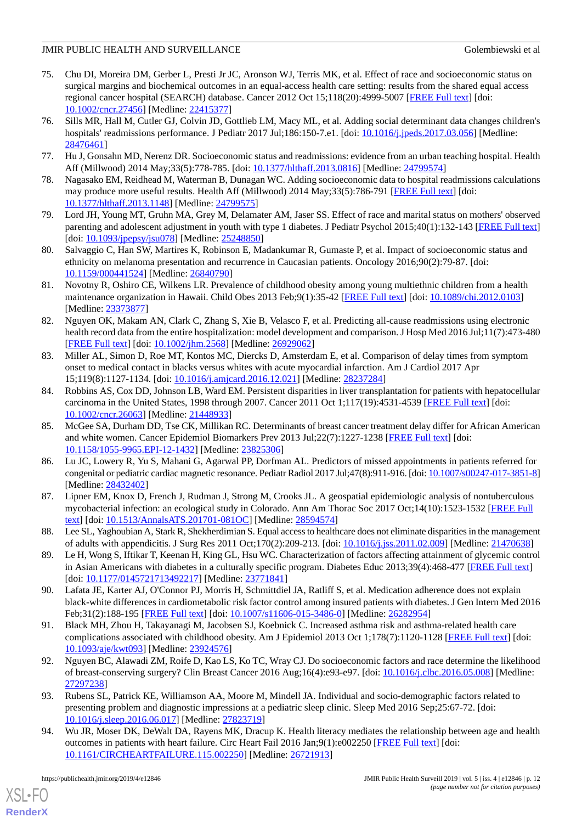- 75. Chu DI, Moreira DM, Gerber L, Presti Jr JC, Aronson WJ, Terris MK, et al. Effect of race and socioeconomic status on surgical margins and biochemical outcomes in an equal-access health care setting: results from the shared equal access regional cancer hospital (SEARCH) database. Cancer 2012 Oct 15;118(20):4999-5007 [\[FREE Full text\]](https://doi.org/10.1002/cncr.27456) [doi: [10.1002/cncr.27456\]](http://dx.doi.org/10.1002/cncr.27456) [Medline: [22415377\]](http://www.ncbi.nlm.nih.gov/entrez/query.fcgi?cmd=Retrieve&db=PubMed&list_uids=22415377&dopt=Abstract)
- 76. Sills MR, Hall M, Cutler GJ, Colvin JD, Gottlieb LM, Macy ML, et al. Adding social determinant data changes children's hospitals' readmissions performance. J Pediatr 2017 Jul;186:150-7.e1. [doi: [10.1016/j.jpeds.2017.03.056](http://dx.doi.org/10.1016/j.jpeds.2017.03.056)] [Medline: [28476461](http://www.ncbi.nlm.nih.gov/entrez/query.fcgi?cmd=Retrieve&db=PubMed&list_uids=28476461&dopt=Abstract)]
- 77. Hu J, Gonsahn MD, Nerenz DR. Socioeconomic status and readmissions: evidence from an urban teaching hospital. Health Aff (Millwood) 2014 May;33(5):778-785. [doi: [10.1377/hlthaff.2013.0816\]](http://dx.doi.org/10.1377/hlthaff.2013.0816) [Medline: [24799574](http://www.ncbi.nlm.nih.gov/entrez/query.fcgi?cmd=Retrieve&db=PubMed&list_uids=24799574&dopt=Abstract)]
- 78. Nagasako EM, Reidhead M, Waterman B, Dunagan WC. Adding socioeconomic data to hospital readmissions calculations may produce more useful results. Health Aff (Millwood) 2014 May;33(5):786-791 [[FREE Full text](http://europepmc.org/abstract/MED/24799575)] [doi: [10.1377/hlthaff.2013.1148](http://dx.doi.org/10.1377/hlthaff.2013.1148)] [Medline: [24799575\]](http://www.ncbi.nlm.nih.gov/entrez/query.fcgi?cmd=Retrieve&db=PubMed&list_uids=24799575&dopt=Abstract)
- 79. Lord JH, Young MT, Gruhn MA, Grey M, Delamater AM, Jaser SS. Effect of race and marital status on mothers' observed parenting and adolescent adjustment in youth with type 1 diabetes. J Pediatr Psychol 2015;40(1):132-143 [[FREE Full text](http://europepmc.org/abstract/MED/25248850)] [doi: [10.1093/jpepsy/jsu078\]](http://dx.doi.org/10.1093/jpepsy/jsu078) [Medline: [25248850](http://www.ncbi.nlm.nih.gov/entrez/query.fcgi?cmd=Retrieve&db=PubMed&list_uids=25248850&dopt=Abstract)]
- 80. Salvaggio C, Han SW, Martires K, Robinson E, Madankumar R, Gumaste P, et al. Impact of socioeconomic status and ethnicity on melanoma presentation and recurrence in Caucasian patients. Oncology 2016;90(2):79-87. [doi: [10.1159/000441524\]](http://dx.doi.org/10.1159/000441524) [Medline: [26840790\]](http://www.ncbi.nlm.nih.gov/entrez/query.fcgi?cmd=Retrieve&db=PubMed&list_uids=26840790&dopt=Abstract)
- 81. Novotny R, Oshiro CE, Wilkens LR. Prevalence of childhood obesity among young multiethnic children from a health maintenance organization in Hawaii. Child Obes 2013 Feb;9(1):35-42 [\[FREE Full text\]](http://europepmc.org/abstract/MED/23373877) [doi: [10.1089/chi.2012.0103](http://dx.doi.org/10.1089/chi.2012.0103)] [Medline: [23373877](http://www.ncbi.nlm.nih.gov/entrez/query.fcgi?cmd=Retrieve&db=PubMed&list_uids=23373877&dopt=Abstract)]
- 82. Nguyen OK, Makam AN, Clark C, Zhang S, Xie B, Velasco F, et al. Predicting all-cause readmissions using electronic health record data from the entire hospitalization: model development and comparison. J Hosp Med 2016 Jul;11(7):473-480 [[FREE Full text](http://europepmc.org/abstract/MED/26929062)] [doi: [10.1002/jhm.2568\]](http://dx.doi.org/10.1002/jhm.2568) [Medline: [26929062\]](http://www.ncbi.nlm.nih.gov/entrez/query.fcgi?cmd=Retrieve&db=PubMed&list_uids=26929062&dopt=Abstract)
- 83. Miller AL, Simon D, Roe MT, Kontos MC, Diercks D, Amsterdam E, et al. Comparison of delay times from symptom onset to medical contact in blacks versus whites with acute myocardial infarction. Am J Cardiol 2017 Apr 15;119(8):1127-1134. [doi: [10.1016/j.amjcard.2016.12.021\]](http://dx.doi.org/10.1016/j.amjcard.2016.12.021) [Medline: [28237284\]](http://www.ncbi.nlm.nih.gov/entrez/query.fcgi?cmd=Retrieve&db=PubMed&list_uids=28237284&dopt=Abstract)
- 84. Robbins AS, Cox DD, Johnson LB, Ward EM. Persistent disparities in liver transplantation for patients with hepatocellular carcinoma in the United States, 1998 through 2007. Cancer 2011 Oct 1;117(19):4531-4539 [\[FREE Full text\]](https://doi.org/10.1002/cncr.26063) [doi: [10.1002/cncr.26063\]](http://dx.doi.org/10.1002/cncr.26063) [Medline: [21448933\]](http://www.ncbi.nlm.nih.gov/entrez/query.fcgi?cmd=Retrieve&db=PubMed&list_uids=21448933&dopt=Abstract)
- 85. McGee SA, Durham DD, Tse CK, Millikan RC. Determinants of breast cancer treatment delay differ for African American and white women. Cancer Epidemiol Biomarkers Prev 2013 Jul;22(7):1227-1238 [[FREE Full text](http://cebp.aacrjournals.org/cgi/pmidlookup?view=long&pmid=23825306)] [doi: [10.1158/1055-9965.EPI-12-1432](http://dx.doi.org/10.1158/1055-9965.EPI-12-1432)] [Medline: [23825306](http://www.ncbi.nlm.nih.gov/entrez/query.fcgi?cmd=Retrieve&db=PubMed&list_uids=23825306&dopt=Abstract)]
- 86. Lu JC, Lowery R, Yu S, Mahani G, Agarwal PP, Dorfman AL. Predictors of missed appointments in patients referred for congenital or pediatric cardiac magnetic resonance. Pediatr Radiol 2017 Jul;47(8):911-916. [doi: [10.1007/s00247-017-3851-8\]](http://dx.doi.org/10.1007/s00247-017-3851-8) [Medline: [28432402](http://www.ncbi.nlm.nih.gov/entrez/query.fcgi?cmd=Retrieve&db=PubMed&list_uids=28432402&dopt=Abstract)]
- 87. Lipner EM, Knox D, French J, Rudman J, Strong M, Crooks JL. A geospatial epidemiologic analysis of nontuberculous mycobacterial infection: an ecological study in Colorado. Ann Am Thorac Soc 2017 Oct;14(10):1523-1532 [[FREE Full](http://europepmc.org/abstract/MED/28594574) [text](http://europepmc.org/abstract/MED/28594574)] [doi: [10.1513/AnnalsATS.201701-081OC\]](http://dx.doi.org/10.1513/AnnalsATS.201701-081OC) [Medline: [28594574](http://www.ncbi.nlm.nih.gov/entrez/query.fcgi?cmd=Retrieve&db=PubMed&list_uids=28594574&dopt=Abstract)]
- 88. Lee SL, Yaghoubian A, Stark R, Shekherdimian S. Equal access to healthcare does not eliminate disparities in the management of adults with appendicitis. J Surg Res 2011 Oct;170(2):209-213. [doi: [10.1016/j.jss.2011.02.009\]](http://dx.doi.org/10.1016/j.jss.2011.02.009) [Medline: [21470638\]](http://www.ncbi.nlm.nih.gov/entrez/query.fcgi?cmd=Retrieve&db=PubMed&list_uids=21470638&dopt=Abstract)
- 89. Le H, Wong S, Iftikar T, Keenan H, King GL, Hsu WC. Characterization of factors affecting attainment of glycemic control in Asian Americans with diabetes in a culturally specific program. Diabetes Educ 2013;39(4):468-477 [\[FREE Full text\]](http://europepmc.org/abstract/MED/23771841) [doi: [10.1177/0145721713492217](http://dx.doi.org/10.1177/0145721713492217)] [Medline: [23771841\]](http://www.ncbi.nlm.nih.gov/entrez/query.fcgi?cmd=Retrieve&db=PubMed&list_uids=23771841&dopt=Abstract)
- 90. Lafata JE, Karter AJ, O'Connor PJ, Morris H, Schmittdiel JA, Ratliff S, et al. Medication adherence does not explain black-white differences in cardiometabolic risk factor control among insured patients with diabetes. J Gen Intern Med 2016 Feb;31(2):188-195 [[FREE Full text](http://europepmc.org/abstract/MED/26282954)] [doi: [10.1007/s11606-015-3486-0\]](http://dx.doi.org/10.1007/s11606-015-3486-0) [Medline: [26282954\]](http://www.ncbi.nlm.nih.gov/entrez/query.fcgi?cmd=Retrieve&db=PubMed&list_uids=26282954&dopt=Abstract)
- 91. Black MH, Zhou H, Takayanagi M, Jacobsen SJ, Koebnick C. Increased asthma risk and asthma-related health care complications associated with childhood obesity. Am J Epidemiol 2013 Oct 1;178(7):1120-1128 [[FREE Full text](http://europepmc.org/abstract/MED/23924576)] [doi: [10.1093/aje/kwt093](http://dx.doi.org/10.1093/aje/kwt093)] [Medline: [23924576](http://www.ncbi.nlm.nih.gov/entrez/query.fcgi?cmd=Retrieve&db=PubMed&list_uids=23924576&dopt=Abstract)]
- 92. Nguyen BC, Alawadi ZM, Roife D, Kao LS, Ko TC, Wray CJ. Do socioeconomic factors and race determine the likelihood of breast-conserving surgery? Clin Breast Cancer 2016 Aug;16(4):e93-e97. [doi: [10.1016/j.clbc.2016.05.008\]](http://dx.doi.org/10.1016/j.clbc.2016.05.008) [Medline: [27297238](http://www.ncbi.nlm.nih.gov/entrez/query.fcgi?cmd=Retrieve&db=PubMed&list_uids=27297238&dopt=Abstract)]
- 93. Rubens SL, Patrick KE, Williamson AA, Moore M, Mindell JA. Individual and socio-demographic factors related to presenting problem and diagnostic impressions at a pediatric sleep clinic. Sleep Med 2016 Sep;25:67-72. [doi: [10.1016/j.sleep.2016.06.017](http://dx.doi.org/10.1016/j.sleep.2016.06.017)] [Medline: [27823719\]](http://www.ncbi.nlm.nih.gov/entrez/query.fcgi?cmd=Retrieve&db=PubMed&list_uids=27823719&dopt=Abstract)
- 94. Wu JR, Moser DK, DeWalt DA, Rayens MK, Dracup K. Health literacy mediates the relationship between age and health outcomes in patients with heart failure. Circ Heart Fail 2016 Jan;9(1):e002250 [[FREE Full text](http://europepmc.org/abstract/MED/26721913)] [doi: [10.1161/CIRCHEARTFAILURE.115.002250](http://dx.doi.org/10.1161/CIRCHEARTFAILURE.115.002250)] [Medline: [26721913](http://www.ncbi.nlm.nih.gov/entrez/query.fcgi?cmd=Retrieve&db=PubMed&list_uids=26721913&dopt=Abstract)]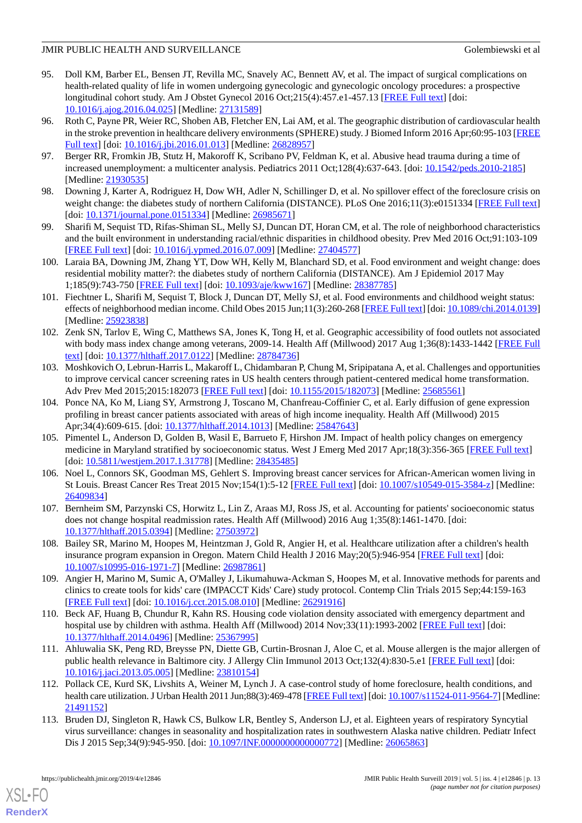- 95. Doll KM, Barber EL, Bensen JT, Revilla MC, Snavely AC, Bennett AV, et al. The impact of surgical complications on health-related quality of life in women undergoing gynecologic and gynecologic oncology procedures: a prospective longitudinal cohort study. Am J Obstet Gynecol 2016 Oct;215(4):457.e1-457.13 [\[FREE Full text\]](http://europepmc.org/abstract/MED/27131589) [doi: [10.1016/j.ajog.2016.04.025\]](http://dx.doi.org/10.1016/j.ajog.2016.04.025) [Medline: [27131589\]](http://www.ncbi.nlm.nih.gov/entrez/query.fcgi?cmd=Retrieve&db=PubMed&list_uids=27131589&dopt=Abstract)
- 96. Roth C, Payne PR, Weier RC, Shoben AB, Fletcher EN, Lai AM, et al. The geographic distribution of cardiovascular health in the stroke prevention in healthcare delivery environments (SPHERE) study. J Biomed Inform 2016 Apr;60:95-103 [\[FREE](https://linkinghub.elsevier.com/retrieve/pii/S1532-0464(16)00014-9) [Full text\]](https://linkinghub.elsevier.com/retrieve/pii/S1532-0464(16)00014-9) [doi: [10.1016/j.jbi.2016.01.013\]](http://dx.doi.org/10.1016/j.jbi.2016.01.013) [Medline: [26828957\]](http://www.ncbi.nlm.nih.gov/entrez/query.fcgi?cmd=Retrieve&db=PubMed&list_uids=26828957&dopt=Abstract)
- 97. Berger RR, Fromkin JB, Stutz H, Makoroff K, Scribano PV, Feldman K, et al. Abusive head trauma during a time of increased unemployment: a multicenter analysis. Pediatrics 2011 Oct;128(4):637-643. [doi: [10.1542/peds.2010-2185](http://dx.doi.org/10.1542/peds.2010-2185)] [Medline: [21930535](http://www.ncbi.nlm.nih.gov/entrez/query.fcgi?cmd=Retrieve&db=PubMed&list_uids=21930535&dopt=Abstract)]
- 98. Downing J, Karter A, Rodriguez H, Dow WH, Adler N, Schillinger D, et al. No spillover effect of the foreclosure crisis on weight change: the diabetes study of northern California (DISTANCE). PLoS One 2016;11(3):e0151334 [\[FREE Full text](http://dx.plos.org/10.1371/journal.pone.0151334)] [doi: [10.1371/journal.pone.0151334\]](http://dx.doi.org/10.1371/journal.pone.0151334) [Medline: [26985671\]](http://www.ncbi.nlm.nih.gov/entrez/query.fcgi?cmd=Retrieve&db=PubMed&list_uids=26985671&dopt=Abstract)
- 99. Sharifi M, Sequist TD, Rifas-Shiman SL, Melly SJ, Duncan DT, Horan CM, et al. The role of neighborhood characteristics and the built environment in understanding racial/ethnic disparities in childhood obesity. Prev Med 2016 Oct;91:103-109 [[FREE Full text](http://europepmc.org/abstract/MED/27404577)] [doi: [10.1016/j.ypmed.2016.07.009\]](http://dx.doi.org/10.1016/j.ypmed.2016.07.009) [Medline: [27404577\]](http://www.ncbi.nlm.nih.gov/entrez/query.fcgi?cmd=Retrieve&db=PubMed&list_uids=27404577&dopt=Abstract)
- 100. Laraia BA, Downing JM, Zhang YT, Dow WH, Kelly M, Blanchard SD, et al. Food environment and weight change: does residential mobility matter?: the diabetes study of northern California (DISTANCE). Am J Epidemiol 2017 May 1;185(9):743-750 [[FREE Full text](http://europepmc.org/abstract/MED/28387785)] [doi: [10.1093/aje/kww167\]](http://dx.doi.org/10.1093/aje/kww167) [Medline: [28387785](http://www.ncbi.nlm.nih.gov/entrez/query.fcgi?cmd=Retrieve&db=PubMed&list_uids=28387785&dopt=Abstract)]
- 101. Fiechtner L, Sharifi M, Sequist T, Block J, Duncan DT, Melly SJ, et al. Food environments and childhood weight status: effects of neighborhood median income. Child Obes 2015 Jun;11(3):260-268 [\[FREE Full text](http://europepmc.org/abstract/MED/25923838)] [doi: [10.1089/chi.2014.0139\]](http://dx.doi.org/10.1089/chi.2014.0139) [Medline: [25923838](http://www.ncbi.nlm.nih.gov/entrez/query.fcgi?cmd=Retrieve&db=PubMed&list_uids=25923838&dopt=Abstract)]
- 102. Zenk SN, Tarlov E, Wing C, Matthews SA, Jones K, Tong H, et al. Geographic accessibility of food outlets not associated with body mass index change among veterans, 2009-14. Health Aff (Millwood) 2017 Aug 1;36(8):1433-1442 [[FREE Full](http://europepmc.org/abstract/MED/28784736) [text](http://europepmc.org/abstract/MED/28784736)] [doi: [10.1377/hlthaff.2017.0122](http://dx.doi.org/10.1377/hlthaff.2017.0122)] [Medline: [28784736](http://www.ncbi.nlm.nih.gov/entrez/query.fcgi?cmd=Retrieve&db=PubMed&list_uids=28784736&dopt=Abstract)]
- 103. Moshkovich O, Lebrun-Harris L, Makaroff L, Chidambaran P, Chung M, Sripipatana A, et al. Challenges and opportunities to improve cervical cancer screening rates in US health centers through patient-centered medical home transformation. Adv Prev Med 2015;2015:182073 [\[FREE Full text\]](https://dx.doi.org/10.1155/2015/182073) [doi: [10.1155/2015/182073\]](http://dx.doi.org/10.1155/2015/182073) [Medline: [25685561](http://www.ncbi.nlm.nih.gov/entrez/query.fcgi?cmd=Retrieve&db=PubMed&list_uids=25685561&dopt=Abstract)]
- 104. Ponce NA, Ko M, Liang SY, Armstrong J, Toscano M, Chanfreau-Coffinier C, et al. Early diffusion of gene expression profiling in breast cancer patients associated with areas of high income inequality. Health Aff (Millwood) 2015 Apr;34(4):609-615. [doi: [10.1377/hlthaff.2014.1013\]](http://dx.doi.org/10.1377/hlthaff.2014.1013) [Medline: [25847643\]](http://www.ncbi.nlm.nih.gov/entrez/query.fcgi?cmd=Retrieve&db=PubMed&list_uids=25847643&dopt=Abstract)
- 105. Pimentel L, Anderson D, Golden B, Wasil E, Barrueto F, Hirshon JM. Impact of health policy changes on emergency medicine in Maryland stratified by socioeconomic status. West J Emerg Med 2017 Apr;18(3):356-365 [[FREE Full text](http://europepmc.org/abstract/MED/28435485)] [doi: [10.5811/westjem.2017.1.31778](http://dx.doi.org/10.5811/westjem.2017.1.31778)] [Medline: [28435485\]](http://www.ncbi.nlm.nih.gov/entrez/query.fcgi?cmd=Retrieve&db=PubMed&list_uids=28435485&dopt=Abstract)
- 106. Noel L, Connors SK, Goodman MS, Gehlert S. Improving breast cancer services for African-American women living in St Louis. Breast Cancer Res Treat 2015 Nov;154(1):5-12 [[FREE Full text](http://europepmc.org/abstract/MED/26409834)] [doi: [10.1007/s10549-015-3584-z\]](http://dx.doi.org/10.1007/s10549-015-3584-z) [Medline: [26409834](http://www.ncbi.nlm.nih.gov/entrez/query.fcgi?cmd=Retrieve&db=PubMed&list_uids=26409834&dopt=Abstract)]
- 107. Bernheim SM, Parzynski CS, Horwitz L, Lin Z, Araas MJ, Ross JS, et al. Accounting for patients' socioeconomic status does not change hospital readmission rates. Health Aff (Millwood) 2016 Aug 1;35(8):1461-1470. [doi: [10.1377/hlthaff.2015.0394](http://dx.doi.org/10.1377/hlthaff.2015.0394)] [Medline: [27503972\]](http://www.ncbi.nlm.nih.gov/entrez/query.fcgi?cmd=Retrieve&db=PubMed&list_uids=27503972&dopt=Abstract)
- 108. Bailey SR, Marino M, Hoopes M, Heintzman J, Gold R, Angier H, et al. Healthcare utilization after a children's health insurance program expansion in Oregon. Matern Child Health J 2016 May; 20(5): 946-954 [[FREE Full text](http://europepmc.org/abstract/MED/26987861)] [doi: [10.1007/s10995-016-1971-7\]](http://dx.doi.org/10.1007/s10995-016-1971-7) [Medline: [26987861](http://www.ncbi.nlm.nih.gov/entrez/query.fcgi?cmd=Retrieve&db=PubMed&list_uids=26987861&dopt=Abstract)]
- 109. Angier H, Marino M, Sumic A, O'Malley J, Likumahuwa-Ackman S, Hoopes M, et al. Innovative methods for parents and clinics to create tools for kids' care (IMPACCT Kids' Care) study protocol. Contemp Clin Trials 2015 Sep;44:159-163 [[FREE Full text](http://europepmc.org/abstract/MED/26291916)] [doi: [10.1016/j.cct.2015.08.010](http://dx.doi.org/10.1016/j.cct.2015.08.010)] [Medline: [26291916\]](http://www.ncbi.nlm.nih.gov/entrez/query.fcgi?cmd=Retrieve&db=PubMed&list_uids=26291916&dopt=Abstract)
- 110. Beck AF, Huang B, Chundur R, Kahn RS. Housing code violation density associated with emergency department and hospital use by children with asthma. Health Aff (Millwood) 2014 Nov;33(11):1993-2002 [\[FREE Full text\]](http://europepmc.org/abstract/MED/25367995) [doi: [10.1377/hlthaff.2014.0496](http://dx.doi.org/10.1377/hlthaff.2014.0496)] [Medline: [25367995\]](http://www.ncbi.nlm.nih.gov/entrez/query.fcgi?cmd=Retrieve&db=PubMed&list_uids=25367995&dopt=Abstract)
- 111. Ahluwalia SK, Peng RD, Breysse PN, Diette GB, Curtin-Brosnan J, Aloe C, et al. Mouse allergen is the major allergen of public health relevance in Baltimore city. J Allergy Clin Immunol 2013 Oct;132(4):830-5.e1 [[FREE Full text](http://europepmc.org/abstract/MED/23810154)] [doi: [10.1016/j.jaci.2013.05.005](http://dx.doi.org/10.1016/j.jaci.2013.05.005)] [Medline: [23810154\]](http://www.ncbi.nlm.nih.gov/entrez/query.fcgi?cmd=Retrieve&db=PubMed&list_uids=23810154&dopt=Abstract)
- 112. Pollack CE, Kurd SK, Livshits A, Weiner M, Lynch J. A case-control study of home foreclosure, health conditions, and health care utilization. J Urban Health 2011 Jun;88(3):469-478 [[FREE Full text\]](http://europepmc.org/abstract/MED/21491152) [doi: [10.1007/s11524-011-9564-7\]](http://dx.doi.org/10.1007/s11524-011-9564-7) [Medline: [21491152](http://www.ncbi.nlm.nih.gov/entrez/query.fcgi?cmd=Retrieve&db=PubMed&list_uids=21491152&dopt=Abstract)]
- 113. Bruden DJ, Singleton R, Hawk CS, Bulkow LR, Bentley S, Anderson LJ, et al. Eighteen years of respiratory Syncytial virus surveillance: changes in seasonality and hospitalization rates in southwestern Alaska native children. Pediatr Infect Dis J 2015 Sep;34(9):945-950. [doi: [10.1097/INF.0000000000000772\]](http://dx.doi.org/10.1097/INF.0000000000000772) [Medline: [26065863\]](http://www.ncbi.nlm.nih.gov/entrez/query.fcgi?cmd=Retrieve&db=PubMed&list_uids=26065863&dopt=Abstract)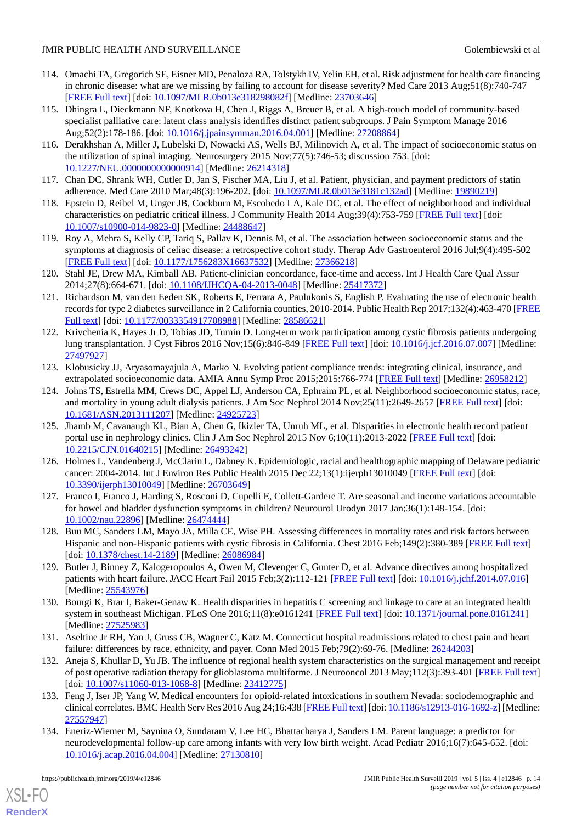- 114. Omachi TA, Gregorich SE, Eisner MD, Penaloza RA, Tolstykh IV, Yelin EH, et al. Risk adjustment for health care financing in chronic disease: what are we missing by failing to account for disease severity? Med Care 2013 Aug;51(8):740-747 [[FREE Full text](http://europepmc.org/abstract/MED/23703646)] [doi: [10.1097/MLR.0b013e318298082f\]](http://dx.doi.org/10.1097/MLR.0b013e318298082f) [Medline: [23703646](http://www.ncbi.nlm.nih.gov/entrez/query.fcgi?cmd=Retrieve&db=PubMed&list_uids=23703646&dopt=Abstract)]
- 115. Dhingra L, Dieckmann NF, Knotkova H, Chen J, Riggs A, Breuer B, et al. A high-touch model of community-based specialist palliative care: latent class analysis identifies distinct patient subgroups. J Pain Symptom Manage 2016 Aug;52(2):178-186. [doi: [10.1016/j.jpainsymman.2016.04.001\]](http://dx.doi.org/10.1016/j.jpainsymman.2016.04.001) [Medline: [27208864](http://www.ncbi.nlm.nih.gov/entrez/query.fcgi?cmd=Retrieve&db=PubMed&list_uids=27208864&dopt=Abstract)]
- 116. Derakhshan A, Miller J, Lubelski D, Nowacki AS, Wells BJ, Milinovich A, et al. The impact of socioeconomic status on the utilization of spinal imaging. Neurosurgery 2015 Nov;77(5):746-53; discussion 753. [doi: [10.1227/NEU.0000000000000914\]](http://dx.doi.org/10.1227/NEU.0000000000000914) [Medline: [26214318\]](http://www.ncbi.nlm.nih.gov/entrez/query.fcgi?cmd=Retrieve&db=PubMed&list_uids=26214318&dopt=Abstract)
- 117. Chan DC, Shrank WH, Cutler D, Jan S, Fischer MA, Liu J, et al. Patient, physician, and payment predictors of statin adherence. Med Care 2010 Mar;48(3):196-202. [doi: [10.1097/MLR.0b013e3181c132ad](http://dx.doi.org/10.1097/MLR.0b013e3181c132ad)] [Medline: [19890219\]](http://www.ncbi.nlm.nih.gov/entrez/query.fcgi?cmd=Retrieve&db=PubMed&list_uids=19890219&dopt=Abstract)
- 118. Epstein D, Reibel M, Unger JB, Cockburn M, Escobedo LA, Kale DC, et al. The effect of neighborhood and individual characteristics on pediatric critical illness. J Community Health 2014 Aug;39(4):753-759 [[FREE Full text](http://europepmc.org/abstract/MED/24488647)] [doi: [10.1007/s10900-014-9823-0\]](http://dx.doi.org/10.1007/s10900-014-9823-0) [Medline: [24488647](http://www.ncbi.nlm.nih.gov/entrez/query.fcgi?cmd=Retrieve&db=PubMed&list_uids=24488647&dopt=Abstract)]
- 119. Roy A, Mehra S, Kelly CP, Tariq S, Pallav K, Dennis M, et al. The association between socioeconomic status and the symptoms at diagnosis of celiac disease: a retrospective cohort study. Therap Adv Gastroenterol 2016 Jul;9(4):495-502 [[FREE Full text](http://europepmc.org/abstract/MED/27366218)] [doi: [10.1177/1756283X16637532\]](http://dx.doi.org/10.1177/1756283X16637532) [Medline: [27366218\]](http://www.ncbi.nlm.nih.gov/entrez/query.fcgi?cmd=Retrieve&db=PubMed&list_uids=27366218&dopt=Abstract)
- 120. Stahl JE, Drew MA, Kimball AB. Patient-clinician concordance, face-time and access. Int J Health Care Qual Assur 2014;27(8):664-671. [doi: [10.1108/IJHCQA-04-2013-0048](http://dx.doi.org/10.1108/IJHCQA-04-2013-0048)] [Medline: [25417372](http://www.ncbi.nlm.nih.gov/entrez/query.fcgi?cmd=Retrieve&db=PubMed&list_uids=25417372&dopt=Abstract)]
- 121. Richardson M, van den Eeden SK, Roberts E, Ferrara A, Paulukonis S, English P. Evaluating the use of electronic health records for type 2 diabetes surveillance in 2 California counties, 2010-2014. Public Health Rep 2017;132(4):463-470 [\[FREE](http://europepmc.org/abstract/MED/28586621) [Full text\]](http://europepmc.org/abstract/MED/28586621) [doi: [10.1177/0033354917708988](http://dx.doi.org/10.1177/0033354917708988)] [Medline: [28586621](http://www.ncbi.nlm.nih.gov/entrez/query.fcgi?cmd=Retrieve&db=PubMed&list_uids=28586621&dopt=Abstract)]
- 122. Krivchenia K, Hayes Jr D, Tobias JD, Tumin D. Long-term work participation among cystic fibrosis patients undergoing lung transplantation. J Cyst Fibros 2016 Nov;15(6):846-849 [\[FREE Full text\]](https://linkinghub.elsevier.com/retrieve/pii/S1569-1993(16)30564-1) [doi: [10.1016/j.jcf.2016.07.007\]](http://dx.doi.org/10.1016/j.jcf.2016.07.007) [Medline: [27497927](http://www.ncbi.nlm.nih.gov/entrez/query.fcgi?cmd=Retrieve&db=PubMed&list_uids=27497927&dopt=Abstract)]
- 123. Klobusicky JJ, Aryasomayajula A, Marko N. Evolving patient compliance trends: integrating clinical, insurance, and extrapolated socioeconomic data. AMIA Annu Symp Proc 2015;2015:766-774 [[FREE Full text](http://europepmc.org/abstract/MED/26958212)] [Medline: [26958212\]](http://www.ncbi.nlm.nih.gov/entrez/query.fcgi?cmd=Retrieve&db=PubMed&list_uids=26958212&dopt=Abstract)
- 124. Johns TS, Estrella MM, Crews DC, Appel LJ, Anderson CA, Ephraim PL, et al. Neighborhood socioeconomic status, race, and mortality in young adult dialysis patients. J Am Soc Nephrol 2014 Nov;  $25(11)$ :  $2649-2657$  [[FREE Full text](http://jasn.asnjournals.org/cgi/pmidlookup?view=long&pmid=24925723)] [doi: [10.1681/ASN.2013111207](http://dx.doi.org/10.1681/ASN.2013111207)] [Medline: [24925723](http://www.ncbi.nlm.nih.gov/entrez/query.fcgi?cmd=Retrieve&db=PubMed&list_uids=24925723&dopt=Abstract)]
- 125. Jhamb M, Cavanaugh KL, Bian A, Chen G, Ikizler TA, Unruh ML, et al. Disparities in electronic health record patient portal use in nephrology clinics. Clin J Am Soc Nephrol 2015 Nov 6;10(11):2013-2022 [\[FREE Full text\]](http://cjasn.asnjournals.org/cgi/pmidlookup?view=long&pmid=26493242) [doi: [10.2215/CJN.01640215](http://dx.doi.org/10.2215/CJN.01640215)] [Medline: [26493242\]](http://www.ncbi.nlm.nih.gov/entrez/query.fcgi?cmd=Retrieve&db=PubMed&list_uids=26493242&dopt=Abstract)
- 126. Holmes L, Vandenberg J, McClarin L, Dabney K. Epidemiologic, racial and healthographic mapping of Delaware pediatric cancer: 2004-2014. Int J Environ Res Public Health 2015 Dec 22;13(1):ijerph13010049 [[FREE Full text](http://www.mdpi.com/resolver?pii=ijerph13010049)] [doi: [10.3390/ijerph13010049](http://dx.doi.org/10.3390/ijerph13010049)] [Medline: [26703649\]](http://www.ncbi.nlm.nih.gov/entrez/query.fcgi?cmd=Retrieve&db=PubMed&list_uids=26703649&dopt=Abstract)
- 127. Franco I, Franco J, Harding S, Rosconi D, Cupelli E, Collett-Gardere T. Are seasonal and income variations accountable for bowel and bladder dysfunction symptoms in children? Neurourol Urodyn 2017 Jan;36(1):148-154. [doi: [10.1002/nau.22896\]](http://dx.doi.org/10.1002/nau.22896) [Medline: [26474444\]](http://www.ncbi.nlm.nih.gov/entrez/query.fcgi?cmd=Retrieve&db=PubMed&list_uids=26474444&dopt=Abstract)
- 128. Buu MC, Sanders LM, Mayo JA, Milla CE, Wise PH. Assessing differences in mortality rates and risk factors between Hispanic and non-Hispanic patients with cystic fibrosis in California. Chest 2016 Feb;149(2):380-389 [[FREE Full text](http://europepmc.org/abstract/MED/26086984)] [doi: [10.1378/chest.14-2189\]](http://dx.doi.org/10.1378/chest.14-2189) [Medline: [26086984](http://www.ncbi.nlm.nih.gov/entrez/query.fcgi?cmd=Retrieve&db=PubMed&list_uids=26086984&dopt=Abstract)]
- 129. Butler J, Binney Z, Kalogeropoulos A, Owen M, Clevenger C, Gunter D, et al. Advance directives among hospitalized patients with heart failure. JACC Heart Fail 2015 Feb;3(2):112-121 [\[FREE Full text\]](https://linkinghub.elsevier.com/retrieve/pii/S2213-1779(14)00439-9) [doi: [10.1016/j.jchf.2014.07.016\]](http://dx.doi.org/10.1016/j.jchf.2014.07.016) [Medline: [25543976](http://www.ncbi.nlm.nih.gov/entrez/query.fcgi?cmd=Retrieve&db=PubMed&list_uids=25543976&dopt=Abstract)]
- 130. Bourgi K, Brar I, Baker-Genaw K. Health disparities in hepatitis C screening and linkage to care at an integrated health system in southeast Michigan. PLoS One 2016;11(8):e0161241 [\[FREE Full text\]](http://dx.plos.org/10.1371/journal.pone.0161241) [doi: [10.1371/journal.pone.0161241](http://dx.doi.org/10.1371/journal.pone.0161241)] [Medline: [27525983](http://www.ncbi.nlm.nih.gov/entrez/query.fcgi?cmd=Retrieve&db=PubMed&list_uids=27525983&dopt=Abstract)]
- 131. Aseltine Jr RH, Yan J, Gruss CB, Wagner C, Katz M. Connecticut hospital readmissions related to chest pain and heart failure: differences by race, ethnicity, and payer. Conn Med 2015 Feb;79(2):69-76. [Medline: [26244203\]](http://www.ncbi.nlm.nih.gov/entrez/query.fcgi?cmd=Retrieve&db=PubMed&list_uids=26244203&dopt=Abstract)
- 132. Aneja S, Khullar D, Yu JB. The influence of regional health system characteristics on the surgical management and receipt of post operative radiation therapy for glioblastoma multiforme. J Neurooncol 2013 May;112(3):393-401 [[FREE Full text](http://europepmc.org/abstract/MED/23412775)] [doi: [10.1007/s11060-013-1068-8](http://dx.doi.org/10.1007/s11060-013-1068-8)] [Medline: [23412775\]](http://www.ncbi.nlm.nih.gov/entrez/query.fcgi?cmd=Retrieve&db=PubMed&list_uids=23412775&dopt=Abstract)
- 133. Feng J, Iser JP, Yang W. Medical encounters for opioid-related intoxications in southern Nevada: sociodemographic and clinical correlates. BMC Health Serv Res 2016 Aug 24;16:438 [[FREE Full text\]](https://bmchealthservres.biomedcentral.com/articles/10.1186/s12913-016-1692-z) [doi: [10.1186/s12913-016-1692-z\]](http://dx.doi.org/10.1186/s12913-016-1692-z) [Medline: [27557947](http://www.ncbi.nlm.nih.gov/entrez/query.fcgi?cmd=Retrieve&db=PubMed&list_uids=27557947&dopt=Abstract)]
- 134. Eneriz-Wiemer M, Saynina O, Sundaram V, Lee HC, Bhattacharya J, Sanders LM. Parent language: a predictor for neurodevelopmental follow-up care among infants with very low birth weight. Acad Pediatr 2016;16(7):645-652. [doi: [10.1016/j.acap.2016.04.004\]](http://dx.doi.org/10.1016/j.acap.2016.04.004) [Medline: [27130810\]](http://www.ncbi.nlm.nih.gov/entrez/query.fcgi?cmd=Retrieve&db=PubMed&list_uids=27130810&dopt=Abstract)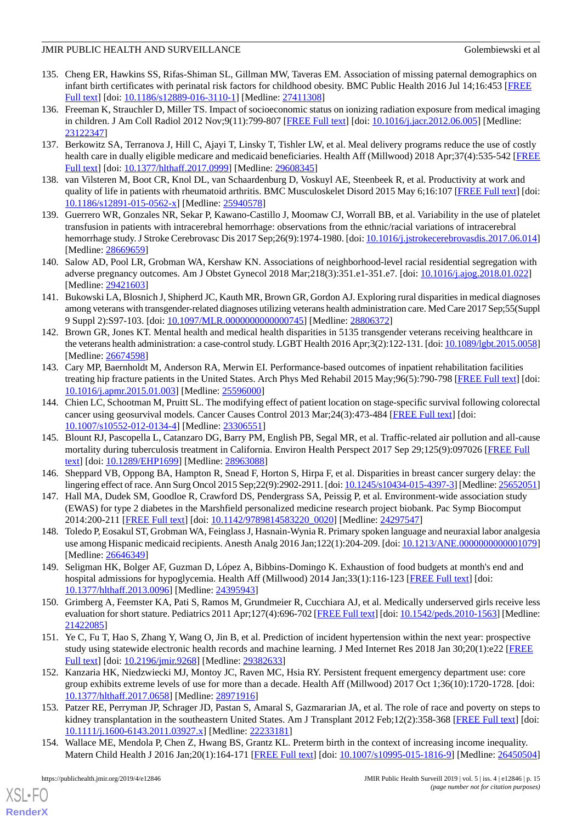- 135. Cheng ER, Hawkins SS, Rifas-Shiman SL, Gillman MW, Taveras EM. Association of missing paternal demographics on infant birth certificates with perinatal risk factors for childhood obesity. BMC Public Health 2016 Jul 14;16:453 [[FREE](https://bmcpublichealth.biomedcentral.com/articles/10.1186/s12889-016-3110-1) [Full text\]](https://bmcpublichealth.biomedcentral.com/articles/10.1186/s12889-016-3110-1) [doi: [10.1186/s12889-016-3110-1](http://dx.doi.org/10.1186/s12889-016-3110-1)] [Medline: [27411308](http://www.ncbi.nlm.nih.gov/entrez/query.fcgi?cmd=Retrieve&db=PubMed&list_uids=27411308&dopt=Abstract)]
- 136. Freeman K, Strauchler D, Miller TS. Impact of socioeconomic status on ionizing radiation exposure from medical imaging in children. J Am Coll Radiol 2012 Nov;9(11):799-807 [\[FREE Full text\]](http://europepmc.org/abstract/MED/23122347) [doi: [10.1016/j.jacr.2012.06.005](http://dx.doi.org/10.1016/j.jacr.2012.06.005)] [Medline: [23122347](http://www.ncbi.nlm.nih.gov/entrez/query.fcgi?cmd=Retrieve&db=PubMed&list_uids=23122347&dopt=Abstract)]
- 137. Berkowitz SA, Terranova J, Hill C, Ajayi T, Linsky T, Tishler LW, et al. Meal delivery programs reduce the use of costly health care in dually eligible medicare and medicaid beneficiaries. Health Aff (Millwood) 2018 Apr;37(4):535-542 [\[FREE](http://europepmc.org/abstract/MED/29608345) [Full text\]](http://europepmc.org/abstract/MED/29608345) [doi: [10.1377/hlthaff.2017.0999\]](http://dx.doi.org/10.1377/hlthaff.2017.0999) [Medline: [29608345\]](http://www.ncbi.nlm.nih.gov/entrez/query.fcgi?cmd=Retrieve&db=PubMed&list_uids=29608345&dopt=Abstract)
- 138. van Vilsteren M, Boot CR, Knol DL, van Schaardenburg D, Voskuyl AE, Steenbeek R, et al. Productivity at work and quality of life in patients with rheumatoid arthritis. BMC Musculoskelet Disord 2015 May 6;16:107 [\[FREE Full text](https://bmcmusculoskeletdisord.biomedcentral.com/articles/10.1186/s12891-015-0562-x)] [doi: [10.1186/s12891-015-0562-x\]](http://dx.doi.org/10.1186/s12891-015-0562-x) [Medline: [25940578](http://www.ncbi.nlm.nih.gov/entrez/query.fcgi?cmd=Retrieve&db=PubMed&list_uids=25940578&dopt=Abstract)]
- 139. Guerrero WR, Gonzales NR, Sekar P, Kawano-Castillo J, Moomaw CJ, Worrall BB, et al. Variability in the use of platelet transfusion in patients with intracerebral hemorrhage: observations from the ethnic/racial variations of intracerebral hemorrhage study. J Stroke Cerebrovasc Dis 2017 Sep;26(9):1974-1980. [doi: [10.1016/j.jstrokecerebrovasdis.2017.06.014](http://dx.doi.org/10.1016/j.jstrokecerebrovasdis.2017.06.014)] [Medline: [28669659](http://www.ncbi.nlm.nih.gov/entrez/query.fcgi?cmd=Retrieve&db=PubMed&list_uids=28669659&dopt=Abstract)]
- 140. Salow AD, Pool LR, Grobman WA, Kershaw KN. Associations of neighborhood-level racial residential segregation with adverse pregnancy outcomes. Am J Obstet Gynecol 2018 Mar;218(3):351.e1-351.e7. [doi: [10.1016/j.ajog.2018.01.022\]](http://dx.doi.org/10.1016/j.ajog.2018.01.022) [Medline: [29421603](http://www.ncbi.nlm.nih.gov/entrez/query.fcgi?cmd=Retrieve&db=PubMed&list_uids=29421603&dopt=Abstract)]
- 141. Bukowski LA, Blosnich J, Shipherd JC, Kauth MR, Brown GR, Gordon AJ. Exploring rural disparities in medical diagnoses among veterans with transgender-related diagnoses utilizing veterans health administration care. Med Care 2017 Sep;55(Suppl 9 Suppl 2):S97-103. [doi: [10.1097/MLR.0000000000000745\]](http://dx.doi.org/10.1097/MLR.0000000000000745) [Medline: [28806372](http://www.ncbi.nlm.nih.gov/entrez/query.fcgi?cmd=Retrieve&db=PubMed&list_uids=28806372&dopt=Abstract)]
- 142. Brown GR, Jones KT. Mental health and medical health disparities in 5135 transgender veterans receiving healthcare in the veterans health administration: a case-control study. LGBT Health 2016 Apr;3(2):122-131. [doi: [10.1089/lgbt.2015.0058\]](http://dx.doi.org/10.1089/lgbt.2015.0058) [Medline: [26674598](http://www.ncbi.nlm.nih.gov/entrez/query.fcgi?cmd=Retrieve&db=PubMed&list_uids=26674598&dopt=Abstract)]
- 143. Cary MP, Baernholdt M, Anderson RA, Merwin EI. Performance-based outcomes of inpatient rehabilitation facilities treating hip fracture patients in the United States. Arch Phys Med Rehabil 2015 May;96(5):790-798 [\[FREE Full text](http://europepmc.org/abstract/MED/25596000)] [doi: [10.1016/j.apmr.2015.01.003\]](http://dx.doi.org/10.1016/j.apmr.2015.01.003) [Medline: [25596000](http://www.ncbi.nlm.nih.gov/entrez/query.fcgi?cmd=Retrieve&db=PubMed&list_uids=25596000&dopt=Abstract)]
- <span id="page-14-0"></span>144. Chien LC, Schootman M, Pruitt SL. The modifying effect of patient location on stage-specific survival following colorectal cancer using geosurvival models. Cancer Causes Control 2013 Mar;24(3):473-484 [\[FREE Full text](http://europepmc.org/abstract/MED/23306551)] [doi: [10.1007/s10552-012-0134-4\]](http://dx.doi.org/10.1007/s10552-012-0134-4) [Medline: [23306551](http://www.ncbi.nlm.nih.gov/entrez/query.fcgi?cmd=Retrieve&db=PubMed&list_uids=23306551&dopt=Abstract)]
- <span id="page-14-2"></span><span id="page-14-1"></span>145. Blount RJ, Pascopella L, Catanzaro DG, Barry PM, English PB, Segal MR, et al. Traffic-related air pollution and all-cause mortality during tuberculosis treatment in California. Environ Health Perspect 2017 Sep 29;125(9):097026 [\[FREE Full](https://ehp.niehs.nih.gov/doi/full/10.1289/EHP1699?url_ver=Z39.88-2003&rfr_id=ori:rid:crossref.org&rfr_dat=cr_pub%3dpubmed) [text](https://ehp.niehs.nih.gov/doi/full/10.1289/EHP1699?url_ver=Z39.88-2003&rfr_id=ori:rid:crossref.org&rfr_dat=cr_pub%3dpubmed)] [doi: [10.1289/EHP1699\]](http://dx.doi.org/10.1289/EHP1699) [Medline: [28963088](http://www.ncbi.nlm.nih.gov/entrez/query.fcgi?cmd=Retrieve&db=PubMed&list_uids=28963088&dopt=Abstract)]
- <span id="page-14-3"></span>146. Sheppard VB, Oppong BA, Hampton R, Snead F, Horton S, Hirpa F, et al. Disparities in breast cancer surgery delay: the lingering effect of race. Ann Surg Oncol 2015 Sep;22(9):2902-2911. [doi: [10.1245/s10434-015-4397-3\]](http://dx.doi.org/10.1245/s10434-015-4397-3) [Medline: [25652051\]](http://www.ncbi.nlm.nih.gov/entrez/query.fcgi?cmd=Retrieve&db=PubMed&list_uids=25652051&dopt=Abstract)
- <span id="page-14-4"></span>147. Hall MA, Dudek SM, Goodloe R, Crawford DS, Pendergrass SA, Peissig P, et al. Environment-wide association study (EWAS) for type 2 diabetes in the Marshfield personalized medicine research project biobank. Pac Symp Biocomput 2014:200-211 [\[FREE Full text\]](http://psb.stanford.edu/psb-online/proceedings/psb14/abstracts/2014_p200.html) [doi: [10.1142/9789814583220\\_0020](http://dx.doi.org/10.1142/9789814583220_0020)] [Medline: [24297547](http://www.ncbi.nlm.nih.gov/entrez/query.fcgi?cmd=Retrieve&db=PubMed&list_uids=24297547&dopt=Abstract)]
- <span id="page-14-5"></span>148. Toledo P, Eosakul ST, Grobman WA, Feinglass J, Hasnain-Wynia R. Primary spoken language and neuraxial labor analgesia use among Hispanic medicaid recipients. Anesth Analg 2016 Jan;122(1):204-209. [doi: 10.1213/ANE.00000000000001079] [Medline: [26646349](http://www.ncbi.nlm.nih.gov/entrez/query.fcgi?cmd=Retrieve&db=PubMed&list_uids=26646349&dopt=Abstract)]
- <span id="page-14-6"></span>149. Seligman HK, Bolger AF, Guzman D, López A, Bibbins-Domingo K. Exhaustion of food budgets at month's end and hospital admissions for hypoglycemia. Health Aff (Millwood) 2014 Jan;33(1):116-123 [\[FREE Full text\]](http://europepmc.org/abstract/MED/24395943) [doi: [10.1377/hlthaff.2013.0096](http://dx.doi.org/10.1377/hlthaff.2013.0096)] [Medline: [24395943\]](http://www.ncbi.nlm.nih.gov/entrez/query.fcgi?cmd=Retrieve&db=PubMed&list_uids=24395943&dopt=Abstract)
- <span id="page-14-7"></span>150. Grimberg A, Feemster KA, Pati S, Ramos M, Grundmeier R, Cucchiara AJ, et al. Medically underserved girls receive less evaluation for short stature. Pediatrics 2011 Apr;127(4):696-702 [\[FREE Full text\]](http://europepmc.org/abstract/MED/21422085) [doi: [10.1542/peds.2010-1563](http://dx.doi.org/10.1542/peds.2010-1563)] [Medline: [21422085](http://www.ncbi.nlm.nih.gov/entrez/query.fcgi?cmd=Retrieve&db=PubMed&list_uids=21422085&dopt=Abstract)]
- <span id="page-14-8"></span>151. Ye C, Fu T, Hao S, Zhang Y, Wang O, Jin B, et al. Prediction of incident hypertension within the next year: prospective study using statewide electronic health records and machine learning. J Med Internet Res 2018 Jan 30;20(1):e22 [[FREE](https://www.jmir.org/2018/1/e22/) [Full text\]](https://www.jmir.org/2018/1/e22/) [doi: [10.2196/jmir.9268](http://dx.doi.org/10.2196/jmir.9268)] [Medline: [29382633\]](http://www.ncbi.nlm.nih.gov/entrez/query.fcgi?cmd=Retrieve&db=PubMed&list_uids=29382633&dopt=Abstract)
- <span id="page-14-9"></span>152. Kanzaria HK, Niedzwiecki MJ, Montoy JC, Raven MC, Hsia RY. Persistent frequent emergency department use: core group exhibits extreme levels of use for more than a decade. Health Aff (Millwood) 2017 Oct 1;36(10):1720-1728. [doi: [10.1377/hlthaff.2017.0658](http://dx.doi.org/10.1377/hlthaff.2017.0658)] [Medline: [28971916\]](http://www.ncbi.nlm.nih.gov/entrez/query.fcgi?cmd=Retrieve&db=PubMed&list_uids=28971916&dopt=Abstract)
- 153. Patzer RE, Perryman JP, Schrager JD, Pastan S, Amaral S, Gazmararian JA, et al. The role of race and poverty on steps to kidney transplantation in the southeastern United States. Am J Transplant 2012 Feb;12(2):358-368 [[FREE Full text](https://doi.org/10.1111/j.1600-6143.2011.03927.x)] [doi: [10.1111/j.1600-6143.2011.03927.x\]](http://dx.doi.org/10.1111/j.1600-6143.2011.03927.x) [Medline: [22233181\]](http://www.ncbi.nlm.nih.gov/entrez/query.fcgi?cmd=Retrieve&db=PubMed&list_uids=22233181&dopt=Abstract)
- 154. Wallace ME, Mendola P, Chen Z, Hwang BS, Grantz KL. Preterm birth in the context of increasing income inequality. Matern Child Health J 2016 Jan;20(1):164-171 [\[FREE Full text](http://europepmc.org/abstract/MED/26450504)] [doi: [10.1007/s10995-015-1816-9\]](http://dx.doi.org/10.1007/s10995-015-1816-9) [Medline: [26450504](http://www.ncbi.nlm.nih.gov/entrez/query.fcgi?cmd=Retrieve&db=PubMed&list_uids=26450504&dopt=Abstract)]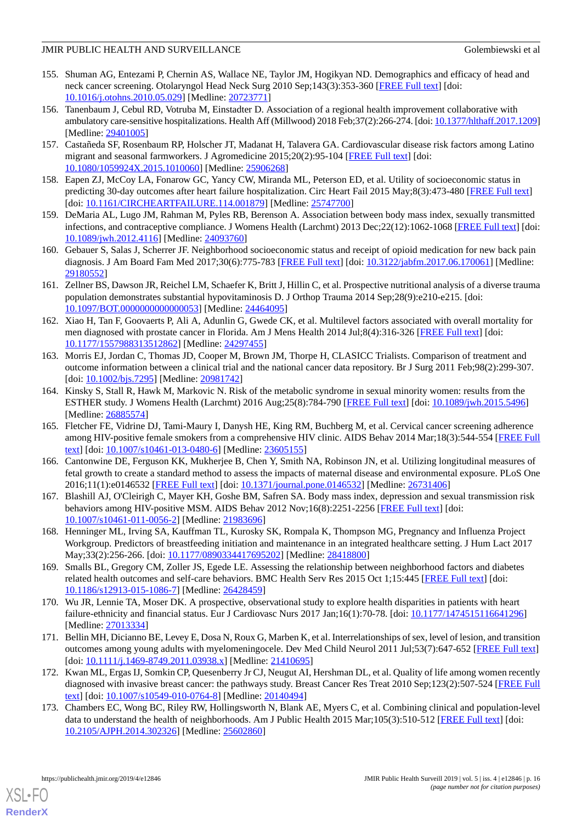- <span id="page-15-0"></span>155. Shuman AG, Entezami P, Chernin AS, Wallace NE, Taylor JM, Hogikyan ND. Demographics and efficacy of head and neck cancer screening. Otolaryngol Head Neck Surg 2010 Sep;143(3):353-360 [[FREE Full text](http://europepmc.org/abstract/MED/20723771)] [doi: [10.1016/j.otohns.2010.05.029](http://dx.doi.org/10.1016/j.otohns.2010.05.029)] [Medline: [20723771](http://www.ncbi.nlm.nih.gov/entrez/query.fcgi?cmd=Retrieve&db=PubMed&list_uids=20723771&dopt=Abstract)]
- <span id="page-15-1"></span>156. Tanenbaum J, Cebul RD, Votruba M, Einstadter D. Association of a regional health improvement collaborative with ambulatory care-sensitive hospitalizations. Health Aff (Millwood) 2018 Feb;37(2):266-274. [doi: [10.1377/hlthaff.2017.1209\]](http://dx.doi.org/10.1377/hlthaff.2017.1209) [Medline: [29401005](http://www.ncbi.nlm.nih.gov/entrez/query.fcgi?cmd=Retrieve&db=PubMed&list_uids=29401005&dopt=Abstract)]
- <span id="page-15-3"></span><span id="page-15-2"></span>157. Castañeda SF, Rosenbaum RP, Holscher JT, Madanat H, Talavera GA. Cardiovascular disease risk factors among Latino migrant and seasonal farmworkers. J Agromedicine 2015;20(2):95-104 [[FREE Full text](http://europepmc.org/abstract/MED/25906268)] [doi: [10.1080/1059924X.2015.1010060](http://dx.doi.org/10.1080/1059924X.2015.1010060)] [Medline: [25906268\]](http://www.ncbi.nlm.nih.gov/entrez/query.fcgi?cmd=Retrieve&db=PubMed&list_uids=25906268&dopt=Abstract)
- <span id="page-15-4"></span>158. Eapen ZJ, McCoy LA, Fonarow GC, Yancy CW, Miranda ML, Peterson ED, et al. Utility of socioeconomic status in predicting 30-day outcomes after heart failure hospitalization. Circ Heart Fail 2015 May;8(3):473-480 [[FREE Full text](http://europepmc.org/abstract/MED/25747700)] [doi: [10.1161/CIRCHEARTFAILURE.114.001879\]](http://dx.doi.org/10.1161/CIRCHEARTFAILURE.114.001879) [Medline: [25747700](http://www.ncbi.nlm.nih.gov/entrez/query.fcgi?cmd=Retrieve&db=PubMed&list_uids=25747700&dopt=Abstract)]
- 159. DeMaria AL, Lugo JM, Rahman M, Pyles RB, Berenson A. Association between body mass index, sexually transmitted infections, and contraceptive compliance. J Womens Health (Larchmt) 2013 Dec; 22(12):1062-1068 [\[FREE Full text](http://europepmc.org/abstract/MED/24093760)] [doi: [10.1089/jwh.2012.4116\]](http://dx.doi.org/10.1089/jwh.2012.4116) [Medline: [24093760\]](http://www.ncbi.nlm.nih.gov/entrez/query.fcgi?cmd=Retrieve&db=PubMed&list_uids=24093760&dopt=Abstract)
- <span id="page-15-6"></span>160. Gebauer S, Salas J, Scherrer JF. Neighborhood socioeconomic status and receipt of opioid medication for new back pain diagnosis. J Am Board Fam Med 2017;30(6):775-783 [[FREE Full text\]](http://www.jabfm.org/cgi/pmidlookup?view=long&pmid=29180552) [doi: [10.3122/jabfm.2017.06.170061](http://dx.doi.org/10.3122/jabfm.2017.06.170061)] [Medline: [29180552](http://www.ncbi.nlm.nih.gov/entrez/query.fcgi?cmd=Retrieve&db=PubMed&list_uids=29180552&dopt=Abstract)]
- <span id="page-15-12"></span>161. Zellner BS, Dawson JR, Reichel LM, Schaefer K, Britt J, Hillin C, et al. Prospective nutritional analysis of a diverse trauma population demonstrates substantial hypovitaminosis D. J Orthop Trauma 2014 Sep;28(9):e210-e215. [doi: [10.1097/BOT.0000000000000053](http://dx.doi.org/10.1097/BOT.0000000000000053)] [Medline: [24464095\]](http://www.ncbi.nlm.nih.gov/entrez/query.fcgi?cmd=Retrieve&db=PubMed&list_uids=24464095&dopt=Abstract)
- 162. Xiao H, Tan F, Goovaerts P, Ali A, Adunlin G, Gwede CK, et al. Multilevel factors associated with overall mortality for men diagnosed with prostate cancer in Florida. Am J Mens Health 2014 Jul;8(4):316-326 [[FREE Full text](http://europepmc.org/abstract/MED/24297455)] [doi: [10.1177/1557988313512862\]](http://dx.doi.org/10.1177/1557988313512862) [Medline: [24297455\]](http://www.ncbi.nlm.nih.gov/entrez/query.fcgi?cmd=Retrieve&db=PubMed&list_uids=24297455&dopt=Abstract)
- 163. Morris EJ, Jordan C, Thomas JD, Cooper M, Brown JM, Thorpe H, CLASICC Trialists. Comparison of treatment and outcome information between a clinical trial and the national cancer data repository. Br J Surg 2011 Feb;98(2):299-307. [doi: [10.1002/bjs.7295](http://dx.doi.org/10.1002/bjs.7295)] [Medline: [20981742](http://www.ncbi.nlm.nih.gov/entrez/query.fcgi?cmd=Retrieve&db=PubMed&list_uids=20981742&dopt=Abstract)]
- 164. Kinsky S, Stall R, Hawk M, Markovic N. Risk of the metabolic syndrome in sexual minority women: results from the ESTHER study. J Womens Health (Larchmt) 2016 Aug;25(8):784-790 [[FREE Full text](http://europepmc.org/abstract/MED/26885574)] [doi: [10.1089/jwh.2015.5496\]](http://dx.doi.org/10.1089/jwh.2015.5496) [Medline: [26885574](http://www.ncbi.nlm.nih.gov/entrez/query.fcgi?cmd=Retrieve&db=PubMed&list_uids=26885574&dopt=Abstract)]
- 165. Fletcher FE, Vidrine DJ, Tami-Maury I, Danysh HE, King RM, Buchberg M, et al. Cervical cancer screening adherence among HIV-positive female smokers from a comprehensive HIV clinic. AIDS Behav 2014 Mar;18(3):544-554 [[FREE Full](http://europepmc.org/abstract/MED/23605155) [text](http://europepmc.org/abstract/MED/23605155)] [doi: [10.1007/s10461-013-0480-6\]](http://dx.doi.org/10.1007/s10461-013-0480-6) [Medline: [23605155](http://www.ncbi.nlm.nih.gov/entrez/query.fcgi?cmd=Retrieve&db=PubMed&list_uids=23605155&dopt=Abstract)]
- <span id="page-15-7"></span>166. Cantonwine DE, Ferguson KK, Mukherjee B, Chen Y, Smith NA, Robinson JN, et al. Utilizing longitudinal measures of fetal growth to create a standard method to assess the impacts of maternal disease and environmental exposure. PLoS One 2016;11(1):e0146532 [\[FREE Full text](http://dx.plos.org/10.1371/journal.pone.0146532)] [doi: [10.1371/journal.pone.0146532\]](http://dx.doi.org/10.1371/journal.pone.0146532) [Medline: [26731406\]](http://www.ncbi.nlm.nih.gov/entrez/query.fcgi?cmd=Retrieve&db=PubMed&list_uids=26731406&dopt=Abstract)
- <span id="page-15-8"></span>167. Blashill AJ, O'Cleirigh C, Mayer KH, Goshe BM, Safren SA. Body mass index, depression and sexual transmission risk behaviors among HIV-positive MSM. AIDS Behav 2012 Nov;16(8):2251-2256 [\[FREE Full text\]](http://europepmc.org/abstract/MED/21983696) [doi: [10.1007/s10461-011-0056-2\]](http://dx.doi.org/10.1007/s10461-011-0056-2) [Medline: [21983696](http://www.ncbi.nlm.nih.gov/entrez/query.fcgi?cmd=Retrieve&db=PubMed&list_uids=21983696&dopt=Abstract)]
- <span id="page-15-5"></span>168. Henninger ML, Irving SA, Kauffman TL, Kurosky SK, Rompala K, Thompson MG, Pregnancy and Influenza Project Workgroup. Predictors of breastfeeding initiation and maintenance in an integrated healthcare setting. J Hum Lact 2017 May;33(2):256-266. [doi: [10.1177/0890334417695202](http://dx.doi.org/10.1177/0890334417695202)] [Medline: [28418800\]](http://www.ncbi.nlm.nih.gov/entrez/query.fcgi?cmd=Retrieve&db=PubMed&list_uids=28418800&dopt=Abstract)
- <span id="page-15-9"></span>169. Smalls BL, Gregory CM, Zoller JS, Egede LE. Assessing the relationship between neighborhood factors and diabetes related health outcomes and self-care behaviors. BMC Health Serv Res 2015 Oct 1;15:445 [[FREE Full text](https://bmchealthservres.biomedcentral.com/articles/10.1186/s12913-015-1086-7)] [doi: [10.1186/s12913-015-1086-7\]](http://dx.doi.org/10.1186/s12913-015-1086-7) [Medline: [26428459](http://www.ncbi.nlm.nih.gov/entrez/query.fcgi?cmd=Retrieve&db=PubMed&list_uids=26428459&dopt=Abstract)]
- <span id="page-15-10"></span>170. Wu JR, Lennie TA, Moser DK. A prospective, observational study to explore health disparities in patients with heart failure-ethnicity and financial status. Eur J Cardiovasc Nurs 2017 Jan;16(1):70-78. [doi: [10.1177/1474515116641296\]](http://dx.doi.org/10.1177/1474515116641296) [Medline: [27013334](http://www.ncbi.nlm.nih.gov/entrez/query.fcgi?cmd=Retrieve&db=PubMed&list_uids=27013334&dopt=Abstract)]
- <span id="page-15-11"></span>171. Bellin MH, Dicianno BE, Levey E, Dosa N, Roux G, Marben K, et al. Interrelationships of sex, level of lesion, and transition outcomes among young adults with myelomeningocele. Dev Med Child Neurol 2011 Jul;53(7):647-652 [[FREE Full text](https://doi.org/10.1111/j.1469-8749.2011.03938.x)] [doi: [10.1111/j.1469-8749.2011.03938.x](http://dx.doi.org/10.1111/j.1469-8749.2011.03938.x)] [Medline: [21410695](http://www.ncbi.nlm.nih.gov/entrez/query.fcgi?cmd=Retrieve&db=PubMed&list_uids=21410695&dopt=Abstract)]
- 172. Kwan ML, Ergas IJ, Somkin CP, Quesenberry Jr CJ, Neugut AI, Hershman DL, et al. Quality of life among women recently diagnosed with invasive breast cancer: the pathways study. Breast Cancer Res Treat 2010 Sep;123(2):507-524 [[FREE Full](http://europepmc.org/abstract/MED/20140494) [text](http://europepmc.org/abstract/MED/20140494)] [doi: [10.1007/s10549-010-0764-8\]](http://dx.doi.org/10.1007/s10549-010-0764-8) [Medline: [20140494](http://www.ncbi.nlm.nih.gov/entrez/query.fcgi?cmd=Retrieve&db=PubMed&list_uids=20140494&dopt=Abstract)]
- 173. Chambers EC, Wong BC, Riley RW, Hollingsworth N, Blank AE, Myers C, et al. Combining clinical and population-level data to understand the health of neighborhoods. Am J Public Health 2015 Mar;105(3):510-512 [[FREE Full text](http://europepmc.org/abstract/MED/25602860)] [doi: [10.2105/AJPH.2014.302326\]](http://dx.doi.org/10.2105/AJPH.2014.302326) [Medline: [25602860](http://www.ncbi.nlm.nih.gov/entrez/query.fcgi?cmd=Retrieve&db=PubMed&list_uids=25602860&dopt=Abstract)]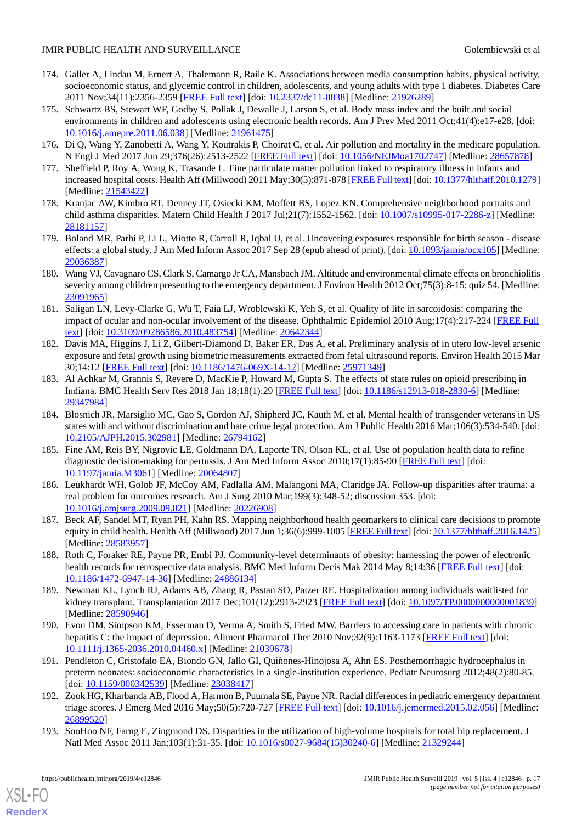- <span id="page-16-0"></span>174. Galler A, Lindau M, Ernert A, Thalemann R, Raile K. Associations between media consumption habits, physical activity, socioeconomic status, and glycemic control in children, adolescents, and young adults with type 1 diabetes. Diabetes Care 2011 Nov;34(11):2356-2359 [[FREE Full text\]](http://europepmc.org/abstract/MED/21926289) [doi: [10.2337/dc11-0838](http://dx.doi.org/10.2337/dc11-0838)] [Medline: [21926289\]](http://www.ncbi.nlm.nih.gov/entrez/query.fcgi?cmd=Retrieve&db=PubMed&list_uids=21926289&dopt=Abstract)
- <span id="page-16-1"></span>175. Schwartz BS, Stewart WF, Godby S, Pollak J, Dewalle J, Larson S, et al. Body mass index and the built and social environments in children and adolescents using electronic health records. Am J Prev Med 2011 Oct;41(4):e17-e28. [doi: [10.1016/j.amepre.2011.06.038](http://dx.doi.org/10.1016/j.amepre.2011.06.038)] [Medline: [21961475\]](http://www.ncbi.nlm.nih.gov/entrez/query.fcgi?cmd=Retrieve&db=PubMed&list_uids=21961475&dopt=Abstract)
- <span id="page-16-2"></span>176. Di Q, Wang Y, Zanobetti A, Wang Y, Koutrakis P, Choirat C, et al. Air pollution and mortality in the medicare population. N Engl J Med 2017 Jun 29;376(26):2513-2522 [\[FREE Full text](http://europepmc.org/abstract/MED/28657878)] [doi: [10.1056/NEJMoa1702747\]](http://dx.doi.org/10.1056/NEJMoa1702747) [Medline: [28657878](http://www.ncbi.nlm.nih.gov/entrez/query.fcgi?cmd=Retrieve&db=PubMed&list_uids=28657878&dopt=Abstract)]
- 177. Sheffield P, Roy A, Wong K, Trasande L. Fine particulate matter pollution linked to respiratory illness in infants and increased hospital costs. Health Aff (Millwood) 2011 May;30(5):871-878 [\[FREE Full text](http://europepmc.org/abstract/MED/21543422)] [doi: [10.1377/hlthaff.2010.1279\]](http://dx.doi.org/10.1377/hlthaff.2010.1279) [Medline: [21543422](http://www.ncbi.nlm.nih.gov/entrez/query.fcgi?cmd=Retrieve&db=PubMed&list_uids=21543422&dopt=Abstract)]
- <span id="page-16-3"></span>178. Kranjac AW, Kimbro RT, Denney JT, Osiecki KM, Moffett BS, Lopez KN. Comprehensive neighborhood portraits and child asthma disparities. Matern Child Health J 2017 Jul;21(7):1552-1562. [doi: [10.1007/s10995-017-2286-z](http://dx.doi.org/10.1007/s10995-017-2286-z)] [Medline: [28181157](http://www.ncbi.nlm.nih.gov/entrez/query.fcgi?cmd=Retrieve&db=PubMed&list_uids=28181157&dopt=Abstract)]
- <span id="page-16-4"></span>179. Boland MR, Parhi P, Li L, Miotto R, Carroll R, Iqbal U, et al. Uncovering exposures responsible for birth season - disease effects: a global study. J Am Med Inform Assoc 2017 Sep 28 (epub ahead of print). [doi: [10.1093/jamia/ocx105\]](http://dx.doi.org/10.1093/jamia/ocx105) [Medline: [29036387](http://www.ncbi.nlm.nih.gov/entrez/query.fcgi?cmd=Retrieve&db=PubMed&list_uids=29036387&dopt=Abstract)]
- <span id="page-16-5"></span>180. Wang VJ, Cavagnaro CS, Clark S, Camargo Jr CA, Mansbach JM. Altitude and environmental climate effects on bronchiolitis severity among children presenting to the emergency department. J Environ Health 2012 Oct;75(3):8-15; quiz 54. [Medline: [23091965](http://www.ncbi.nlm.nih.gov/entrez/query.fcgi?cmd=Retrieve&db=PubMed&list_uids=23091965&dopt=Abstract)]
- <span id="page-16-6"></span>181. Saligan LN, Levy-Clarke G, Wu T, Faia LJ, Wroblewski K, Yeh S, et al. Quality of life in sarcoidosis: comparing the impact of ocular and non-ocular involvement of the disease. Ophthalmic Epidemiol 2010 Aug;17(4):217-224 [\[FREE Full](http://europepmc.org/abstract/MED/20642344) [text](http://europepmc.org/abstract/MED/20642344)] [doi: [10.3109/09286586.2010.483754\]](http://dx.doi.org/10.3109/09286586.2010.483754) [Medline: [20642344\]](http://www.ncbi.nlm.nih.gov/entrez/query.fcgi?cmd=Retrieve&db=PubMed&list_uids=20642344&dopt=Abstract)
- <span id="page-16-7"></span>182. Davis MA, Higgins J, Li Z, Gilbert-Diamond D, Baker ER, Das A, et al. Preliminary analysis of in utero low-level arsenic exposure and fetal growth using biometric measurements extracted from fetal ultrasound reports. Environ Health 2015 Mar 30;14:12 [[FREE Full text](https://ehjournal.biomedcentral.com/articles/10.1186/1476-069X-14-12)] [doi: [10.1186/1476-069X-14-12](http://dx.doi.org/10.1186/1476-069X-14-12)] [Medline: [25971349\]](http://www.ncbi.nlm.nih.gov/entrez/query.fcgi?cmd=Retrieve&db=PubMed&list_uids=25971349&dopt=Abstract)
- <span id="page-16-8"></span>183. Al Achkar M, Grannis S, Revere D, MacKie P, Howard M, Gupta S. The effects of state rules on opioid prescribing in Indiana. BMC Health Serv Res 2018 Jan 18;18(1):29 [\[FREE Full text\]](https://bmchealthservres.biomedcentral.com/articles/10.1186/s12913-018-2830-6) [doi: [10.1186/s12913-018-2830-6\]](http://dx.doi.org/10.1186/s12913-018-2830-6) [Medline: [29347984](http://www.ncbi.nlm.nih.gov/entrez/query.fcgi?cmd=Retrieve&db=PubMed&list_uids=29347984&dopt=Abstract)]
- <span id="page-16-9"></span>184. Blosnich JR, Marsiglio MC, Gao S, Gordon AJ, Shipherd JC, Kauth M, et al. Mental health of transgender veterans in US states with and without discrimination and hate crime legal protection. Am J Public Health 2016 Mar;106(3):534-540. [doi: [10.2105/AJPH.2015.302981\]](http://dx.doi.org/10.2105/AJPH.2015.302981) [Medline: [26794162](http://www.ncbi.nlm.nih.gov/entrez/query.fcgi?cmd=Retrieve&db=PubMed&list_uids=26794162&dopt=Abstract)]
- <span id="page-16-10"></span>185. Fine AM, Reis BY, Nigrovic LE, Goldmann DA, Laporte TN, Olson KL, et al. Use of population health data to refine diagnostic decision-making for pertussis. J Am Med Inform Assoc 2010;17(1):85-90 [[FREE Full text](http://europepmc.org/abstract/MED/20064807)] [doi: [10.1197/jamia.M3061](http://dx.doi.org/10.1197/jamia.M3061)] [Medline: [20064807](http://www.ncbi.nlm.nih.gov/entrez/query.fcgi?cmd=Retrieve&db=PubMed&list_uids=20064807&dopt=Abstract)]
- <span id="page-16-12"></span><span id="page-16-11"></span>186. Leukhardt WH, Golob JF, McCoy AM, Fadlalla AM, Malangoni MA, Claridge JA. Follow-up disparities after trauma: a real problem for outcomes research. Am J Surg 2010 Mar;199(3):348-52; discussion 353. [doi: [10.1016/j.amjsurg.2009.09.021\]](http://dx.doi.org/10.1016/j.amjsurg.2009.09.021) [Medline: [20226908](http://www.ncbi.nlm.nih.gov/entrez/query.fcgi?cmd=Retrieve&db=PubMed&list_uids=20226908&dopt=Abstract)]
- <span id="page-16-13"></span>187. Beck AF, Sandel MT, Ryan PH, Kahn RS. Mapping neighborhood health geomarkers to clinical care decisions to promote equity in child health. Health Aff (Millwood) 2017 Jun 1;36(6):999-1005 [\[FREE Full text](http://europepmc.org/abstract/MED/28583957)] [doi: [10.1377/hlthaff.2016.1425\]](http://dx.doi.org/10.1377/hlthaff.2016.1425) [Medline: [28583957](http://www.ncbi.nlm.nih.gov/entrez/query.fcgi?cmd=Retrieve&db=PubMed&list_uids=28583957&dopt=Abstract)]
- <span id="page-16-14"></span>188. Roth C, Foraker RE, Payne PR, Embi PJ. Community-level determinants of obesity: harnessing the power of electronic health records for retrospective data analysis. BMC Med Inform Decis Mak 2014 May 8;14:36 [\[FREE Full text\]](https://bmcmedinformdecismak.biomedcentral.com/articles/10.1186/1472-6947-14-36) [doi: [10.1186/1472-6947-14-36\]](http://dx.doi.org/10.1186/1472-6947-14-36) [Medline: [24886134\]](http://www.ncbi.nlm.nih.gov/entrez/query.fcgi?cmd=Retrieve&db=PubMed&list_uids=24886134&dopt=Abstract)
- <span id="page-16-15"></span>189. Newman KL, Lynch RJ, Adams AB, Zhang R, Pastan SO, Patzer RE. Hospitalization among individuals waitlisted for kidney transplant. Transplantation 2017 Dec;101(12):2913-2923 [\[FREE Full text\]](http://europepmc.org/abstract/MED/28590946) [doi: [10.1097/TP.0000000000001839](http://dx.doi.org/10.1097/TP.0000000000001839)] [Medline: [28590946](http://www.ncbi.nlm.nih.gov/entrez/query.fcgi?cmd=Retrieve&db=PubMed&list_uids=28590946&dopt=Abstract)]
- <span id="page-16-16"></span>190. Evon DM, Simpson KM, Esserman D, Verma A, Smith S, Fried MW. Barriers to accessing care in patients with chronic hepatitis C: the impact of depression. Aliment Pharmacol Ther 2010 Nov;32(9):1163-1173 [[FREE Full text](https://doi.org/10.1111/j.1365-2036.2010.04460.x)] [doi: [10.1111/j.1365-2036.2010.04460.x\]](http://dx.doi.org/10.1111/j.1365-2036.2010.04460.x) [Medline: [21039678\]](http://www.ncbi.nlm.nih.gov/entrez/query.fcgi?cmd=Retrieve&db=PubMed&list_uids=21039678&dopt=Abstract)
- <span id="page-16-17"></span>191. Pendleton C, Cristofalo EA, Biondo GN, Jallo GI, Quiñones-Hinojosa A, Ahn ES. Posthemorrhagic hydrocephalus in preterm neonates: socioeconomic characteristics in a single-institution experience. Pediatr Neurosurg 2012;48(2):80-85. [doi: [10.1159/000342539](http://dx.doi.org/10.1159/000342539)] [Medline: [23038417\]](http://www.ncbi.nlm.nih.gov/entrez/query.fcgi?cmd=Retrieve&db=PubMed&list_uids=23038417&dopt=Abstract)
- 192. Zook HG, Kharbanda AB, Flood A, Harmon B, Puumala SE, Payne NR. Racial differences in pediatric emergency department triage scores. J Emerg Med 2016 May;50(5):720-727 [\[FREE Full text\]](http://europepmc.org/abstract/MED/26899520) [doi: [10.1016/j.jemermed.2015.02.056\]](http://dx.doi.org/10.1016/j.jemermed.2015.02.056) [Medline: [26899520](http://www.ncbi.nlm.nih.gov/entrez/query.fcgi?cmd=Retrieve&db=PubMed&list_uids=26899520&dopt=Abstract)]
- 193. SooHoo NF, Farng E, Zingmond DS. Disparities in the utilization of high-volume hospitals for total hip replacement. J Natl Med Assoc 2011 Jan;103(1):31-35. [doi: [10.1016/s0027-9684\(15\)30240-6](http://dx.doi.org/10.1016/s0027-9684(15)30240-6)] [Medline: [21329244](http://www.ncbi.nlm.nih.gov/entrez/query.fcgi?cmd=Retrieve&db=PubMed&list_uids=21329244&dopt=Abstract)]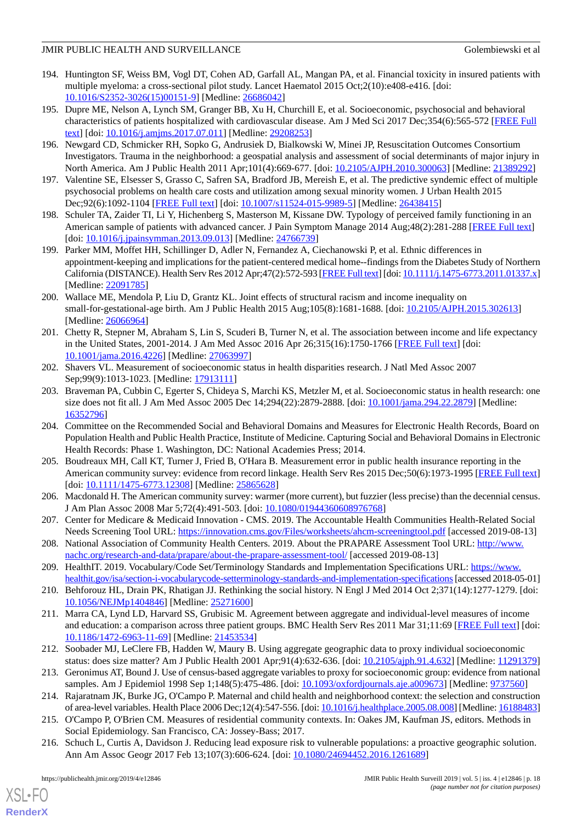- <span id="page-17-0"></span>194. Huntington SF, Weiss BM, Vogl DT, Cohen AD, Garfall AL, Mangan PA, et al. Financial toxicity in insured patients with multiple myeloma: a cross-sectional pilot study. Lancet Haematol 2015 Oct;2(10):e408-e416. [doi: [10.1016/S2352-3026\(15\)00151-9\]](http://dx.doi.org/10.1016/S2352-3026(15)00151-9) [Medline: [26686042](http://www.ncbi.nlm.nih.gov/entrez/query.fcgi?cmd=Retrieve&db=PubMed&list_uids=26686042&dopt=Abstract)]
- <span id="page-17-1"></span>195. Dupre ME, Nelson A, Lynch SM, Granger BB, Xu H, Churchill E, et al. Socioeconomic, psychosocial and behavioral characteristics of patients hospitalized with cardiovascular disease. Am J Med Sci 2017 Dec;354(6):565-572 [\[FREE Full](http://europepmc.org/abstract/MED/29208253) [text](http://europepmc.org/abstract/MED/29208253)] [doi: [10.1016/j.amjms.2017.07.011](http://dx.doi.org/10.1016/j.amjms.2017.07.011)] [Medline: [29208253](http://www.ncbi.nlm.nih.gov/entrez/query.fcgi?cmd=Retrieve&db=PubMed&list_uids=29208253&dopt=Abstract)]
- <span id="page-17-2"></span>196. Newgard CD, Schmicker RH, Sopko G, Andrusiek D, Bialkowski W, Minei JP, Resuscitation Outcomes Consortium Investigators. Trauma in the neighborhood: a geospatial analysis and assessment of social determinants of major injury in North America. Am J Public Health 2011 Apr;101(4):669-677. [doi: [10.2105/AJPH.2010.300063](http://dx.doi.org/10.2105/AJPH.2010.300063)] [Medline: [21389292\]](http://www.ncbi.nlm.nih.gov/entrez/query.fcgi?cmd=Retrieve&db=PubMed&list_uids=21389292&dopt=Abstract)
- <span id="page-17-4"></span><span id="page-17-3"></span>197. Valentine SE, Elsesser S, Grasso C, Safren SA, Bradford JB, Mereish E, et al. The predictive syndemic effect of multiple psychosocial problems on health care costs and utilization among sexual minority women. J Urban Health 2015 Dec;92(6):1092-1104 [\[FREE Full text](http://europepmc.org/abstract/MED/26438415)] [doi: [10.1007/s11524-015-9989-5\]](http://dx.doi.org/10.1007/s11524-015-9989-5) [Medline: [26438415\]](http://www.ncbi.nlm.nih.gov/entrez/query.fcgi?cmd=Retrieve&db=PubMed&list_uids=26438415&dopt=Abstract)
- <span id="page-17-5"></span>198. Schuler TA, Zaider TI, Li Y, Hichenberg S, Masterson M, Kissane DW. Typology of perceived family functioning in an American sample of patients with advanced cancer. J Pain Symptom Manage 2014 Aug;48(2):281-288 [\[FREE Full text\]](http://europepmc.org/abstract/MED/24766739) [doi: 10.1016/*j.jpainsymman.2013.09.013*] [Medline: [24766739\]](http://www.ncbi.nlm.nih.gov/entrez/query.fcgi?cmd=Retrieve&db=PubMed&list_uids=24766739&dopt=Abstract)
- <span id="page-17-6"></span>199. Parker MM, Moffet HH, Schillinger D, Adler N, Fernandez A, Ciechanowski P, et al. Ethnic differences in appointment-keeping and implications for the patient-centered medical home--findings from the Diabetes Study of Northern California (DISTANCE). Health Serv Res 2012 Apr;47(2):572-593 [[FREE Full text](http://europepmc.org/abstract/MED/22091785)] [doi: [10.1111/j.1475-6773.2011.01337.x\]](http://dx.doi.org/10.1111/j.1475-6773.2011.01337.x) [Medline: [22091785](http://www.ncbi.nlm.nih.gov/entrez/query.fcgi?cmd=Retrieve&db=PubMed&list_uids=22091785&dopt=Abstract)]
- <span id="page-17-7"></span>200. Wallace ME, Mendola P, Liu D, Grantz KL. Joint effects of structural racism and income inequality on small-for-gestational-age birth. Am J Public Health 2015 Aug;105(8):1681-1688. [doi: [10.2105/AJPH.2015.302613](http://dx.doi.org/10.2105/AJPH.2015.302613)] [Medline: [26066964](http://www.ncbi.nlm.nih.gov/entrez/query.fcgi?cmd=Retrieve&db=PubMed&list_uids=26066964&dopt=Abstract)]
- <span id="page-17-8"></span>201. Chetty R, Stepner M, Abraham S, Lin S, Scuderi B, Turner N, et al. The association between income and life expectancy in the United States, 2001-2014. J Am Med Assoc 2016 Apr 26;315(16):1750-1766 [\[FREE Full text\]](http://europepmc.org/abstract/MED/27063997) [doi: [10.1001/jama.2016.4226](http://dx.doi.org/10.1001/jama.2016.4226)] [Medline: [27063997](http://www.ncbi.nlm.nih.gov/entrez/query.fcgi?cmd=Retrieve&db=PubMed&list_uids=27063997&dopt=Abstract)]
- <span id="page-17-9"></span>202. Shavers VL. Measurement of socioeconomic status in health disparities research. J Natl Med Assoc 2007 Sep;99(9):1013-1023. [Medline: [17913111](http://www.ncbi.nlm.nih.gov/entrez/query.fcgi?cmd=Retrieve&db=PubMed&list_uids=17913111&dopt=Abstract)]
- <span id="page-17-10"></span>203. Braveman PA, Cubbin C, Egerter S, Chideya S, Marchi KS, Metzler M, et al. Socioeconomic status in health research: one size does not fit all. J Am Med Assoc 2005 Dec 14;294(22):2879-2888. [doi: [10.1001/jama.294.22.2879\]](http://dx.doi.org/10.1001/jama.294.22.2879) [Medline: [16352796](http://www.ncbi.nlm.nih.gov/entrez/query.fcgi?cmd=Retrieve&db=PubMed&list_uids=16352796&dopt=Abstract)]
- <span id="page-17-11"></span>204. Committee on the Recommended Social and Behavioral Domains and Measures for Electronic Health Records, Board on Population Health and Public Health Practice, Institute of Medicine. Capturing Social and Behavioral Domains in Electronic Health Records: Phase 1. Washington, DC: National Academies Press; 2014.
- <span id="page-17-13"></span><span id="page-17-12"></span>205. Boudreaux MH, Call KT, Turner J, Fried B, O'Hara B. Measurement error in public health insurance reporting in the American community survey: evidence from record linkage. Health Serv Res 2015 Dec;50(6):1973-1995 [[FREE Full text](http://europepmc.org/abstract/MED/25865628)] [doi: [10.1111/1475-6773.12308](http://dx.doi.org/10.1111/1475-6773.12308)] [Medline: [25865628\]](http://www.ncbi.nlm.nih.gov/entrez/query.fcgi?cmd=Retrieve&db=PubMed&list_uids=25865628&dopt=Abstract)
- <span id="page-17-14"></span>206. Macdonald H. The American community survey: warmer (more current), but fuzzier (less precise) than the decennial census. J Am Plan Assoc 2008 Mar 5;72(4):491-503. [doi: [10.1080/01944360608976768\]](http://dx.doi.org/10.1080/01944360608976768)
- <span id="page-17-15"></span>207. Center for Medicare & Medicaid Innovation - CMS. 2019. The Accountable Health Communities Health-Related Social Needs Screening Tool URL:<https://innovation.cms.gov/Files/worksheets/ahcm-screeningtool.pdf> [accessed 2019-08-13]
- <span id="page-17-17"></span><span id="page-17-16"></span>208. National Association of Community Health Centers. 2019. About the PRAPARE Assessment Tool URL: [http://www.](http://www.nachc.org/research-and-data/prapare/about-the-prapare-assessment-tool/) [nachc.org/research-and-data/prapare/about-the-prapare-assessment-tool/](http://www.nachc.org/research-and-data/prapare/about-the-prapare-assessment-tool/) [accessed 2019-08-13]
- 209. HealthIT. 2019. Vocabulary/Code Set/Terminology Standards and Implementation Specifications URL: [https://www.](https://www.healthit.gov/isa/section-i-vocabularycode-setterminology-standards-and-implementation-specifications) [healthit.gov/isa/section-i-vocabularycode-setterminology-standards-and-implementation-specifications](https://www.healthit.gov/isa/section-i-vocabularycode-setterminology-standards-and-implementation-specifications) [accessed 2018-05-01]
- 210. Behforouz HL, Drain PK, Rhatigan JJ. Rethinking the social history. N Engl J Med 2014 Oct 2;371(14):1277-1279. [doi: [10.1056/NEJMp1404846\]](http://dx.doi.org/10.1056/NEJMp1404846) [Medline: [25271600\]](http://www.ncbi.nlm.nih.gov/entrez/query.fcgi?cmd=Retrieve&db=PubMed&list_uids=25271600&dopt=Abstract)
- <span id="page-17-19"></span><span id="page-17-18"></span>211. Marra CA, Lynd LD, Harvard SS, Grubisic M. Agreement between aggregate and individual-level measures of income and education: a comparison across three patient groups. BMC Health Serv Res 2011 Mar 31;11:69 [\[FREE Full text](https://bmchealthservres.biomedcentral.com/articles/10.1186/1472-6963-11-69)] [doi: [10.1186/1472-6963-11-69\]](http://dx.doi.org/10.1186/1472-6963-11-69) [Medline: [21453534\]](http://www.ncbi.nlm.nih.gov/entrez/query.fcgi?cmd=Retrieve&db=PubMed&list_uids=21453534&dopt=Abstract)
- <span id="page-17-20"></span>212. Soobader MJ, LeClere FB, Hadden W, Maury B. Using aggregate geographic data to proxy individual socioeconomic status: does size matter? Am J Public Health 2001 Apr;91(4):632-636. [doi: [10.2105/ajph.91.4.632\]](http://dx.doi.org/10.2105/ajph.91.4.632) [Medline: [11291379](http://www.ncbi.nlm.nih.gov/entrez/query.fcgi?cmd=Retrieve&db=PubMed&list_uids=11291379&dopt=Abstract)]
- <span id="page-17-21"></span>213. Geronimus AT, Bound J. Use of census-based aggregate variables to proxy for socioeconomic group: evidence from national samples. Am J Epidemiol 1998 Sep 1;148(5):475-486. [doi: [10.1093/oxfordjournals.aje.a009673](http://dx.doi.org/10.1093/oxfordjournals.aje.a009673)] [Medline: [9737560\]](http://www.ncbi.nlm.nih.gov/entrez/query.fcgi?cmd=Retrieve&db=PubMed&list_uids=9737560&dopt=Abstract)
- 214. Rajaratnam JK, Burke JG, O'Campo P. Maternal and child health and neighborhood context: the selection and construction of area-level variables. Health Place 2006 Dec;12(4):547-556. [doi: [10.1016/j.healthplace.2005.08.008](http://dx.doi.org/10.1016/j.healthplace.2005.08.008)] [Medline: [16188483\]](http://www.ncbi.nlm.nih.gov/entrez/query.fcgi?cmd=Retrieve&db=PubMed&list_uids=16188483&dopt=Abstract)
- 215. O'Campo P, O'Brien CM. Measures of residential community contexts. In: Oakes JM, Kaufman JS, editors. Methods in Social Epidemiology. San Francisco, CA: Jossey-Bass; 2017.
- 216. Schuch L, Curtis A, Davidson J. Reducing lead exposure risk to vulnerable populations: a proactive geographic solution. Ann Am Assoc Geogr 2017 Feb 13;107(3):606-624. [doi: [10.1080/24694452.2016.1261689](http://dx.doi.org/10.1080/24694452.2016.1261689)]